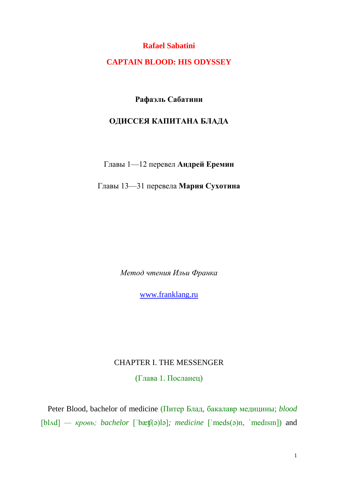**Rafael Sabatini**

**CAPTAIN BLOOD: HIS ODYSSEY**

**Рафаэль Сабатини**

## **ОДИССЕЯ КАПИТАНА БЛАДА**

Главы 1—12 перевел **Андрей Еремин**

Главы 13—31 перевела **Мария Сухотина**

*Метод чтения Ильи Франка*

[www.franklang.ru](http://www.franklang.ru/)

## CHAPTER I. THE MESSENGER

(Глава 1. Посланец)

Peter Blood, bachelor of medicine (Питер Блад, бакалавр медицины; *blood*  [bl^d] *— кровь; bachelor* ['bætt͡(ə)lə]; *medicine* ['meds(ə)n, 'medisin]) and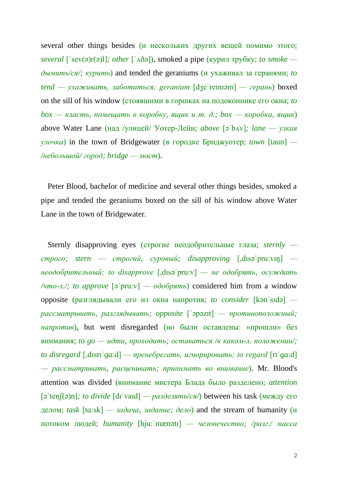several other things besides (и нескольких других вещей помимо этого; *several* [ˈsev(ə)r(ə)l]*; other* [ˈʌðə]), smoked a pipe (курил трубку; *to smoke дымить/ся/; курить*) and tended the geraniums (и ухаживал за геранями; *to tend — ухаживать, заботиться; geranium* [dʒeˈreɪnɪəm] *— герань*) boxed on the sill of his window (стоявшими в горшках на подоконнике его окна; *to box — класть, помещать в коробку, ящик и т. д.; box — коробка, ящик*) above Water Lane (над /улицей/ Уотер-Лейн; *above* [əˈbʌv]*; lane — узкая улочка*) in the town of Bridgewater (в городке Бриджуотер; *town* [taun] *— /небольшой/ город; bridge — мост*).

Peter Blood, bachelor of medicine and several other things besides, smoked a pipe and tended the geraniums boxed on the sill of his window above Water Lane in the town of Bridgewater.

Sternly disapproving eyes (строгие неодобрительные глаза; *sternly строго; stern — строгий, суровый; disapproving* [,dɪsəˈpru:vɪŋ]  *неодобрительный; to disapprove* [,dɪsəˈpru:v] *— не одобрять, осуждать /что-л./; to approve* [əˈpru:v] *— одобрять*) considered him from a window opposite (разглядывали его из окна напротив; *to consider* [kənˈsɪdə]  *рассматривать, разглядывать; opposite* [ˈɔpəzɪt] *— противоположный; напротив*), but went disregarded (но были оставлены: «прошли» без внимания; *to go — идти, проходить; оставаться /в каком-л. положении/; to disregard* [,dɪsrɪˈɡɑ:d] *— пренебрегать, игнорировать; to regard* [rɪˈɡɑ:d] *— рассматривать, расценивать; принимать во внимание*). Mr. Blood's attention was divided (внимание мистера Блада было разделено; *attention*  [əˈtenʃ(ə)n]*; to divide* [dɪˈvaɪd] *— разделять/ся/*) between his task (между его делом; *task*  $[ta:sk]$  *— задача, задание; дело*) and the stream of humanity (и потоком людей; *humanity* [hju:ˈmænətɪ] *— человечество; /разг./ масса*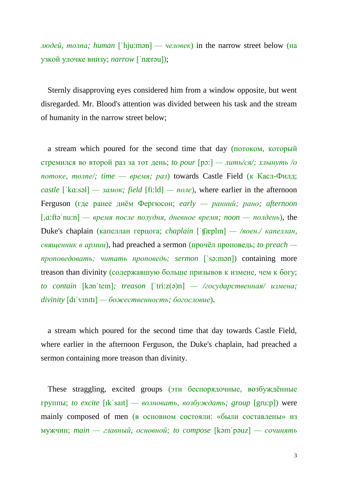*людей, толпа; human* [ˈhju:mən] *— человек*) in the narrow street below (на узкой улочке внизу; *narrow* [ˈnærəu]);

Sternly disapproving eyes considered him from a window opposite, but went disregarded. Mr. Blood's attention was divided between his task and the stream of humanity in the narrow street below;

a stream which poured for the second time that day (потоком, который стремился во второй раз за тот день; *to pour* [pɔ:] *— лить/ся/; хлынуть /о потоке, толпе/; time — время; раз*) towards Castle Field (к Касл-Филд;  $\text{castle}$  ['ka:səl] —  $\text{caust}$ ; field [fi:ld] —  $\text{none}$ ), where earlier in the afternoon Ferguson (где ранее днём Фергюсон; *early — ранний; рано; afternoon*  [,ɑ:ftəˈnu:n] *— время после полудня, дневное время; noon — полдень*), the Duke's chaplain (капеллан герцога; *chaplain* [ˈʧæplɪn] *— /воен./ капеллан, священник в армии*), had preached a sermon (прочёл проповедь; *to preach проповедовать; читать проповедь; sermon* [ˈsə:mən]) containing more treason than divinity (содержавшую больше призывов к измене, чем к богу; *to contain* [kənˈteɪn]*; treason* [ˈtri:z(ə)n] *— /государственная/ измена; divinity* [dɪˈvɪnɪtɪ] *— божественность; богословие*).

a stream which poured for the second time that day towards Castle Field, where earlier in the afternoon Ferguson, the Duke's chaplain, had preached a sermon containing more treason than divinity.

These straggling, excited groups (эти беспорядочные, возбуждённые группы; *to excite* [ɪkˈsaɪt] *— волновать, возбуждать; group* [gru:p]) were mainly composed of men (в основном состояли: «были составлены» из мужчин; *main — главный, основной; to compose* [kəmˈpəuz] *— сочинять*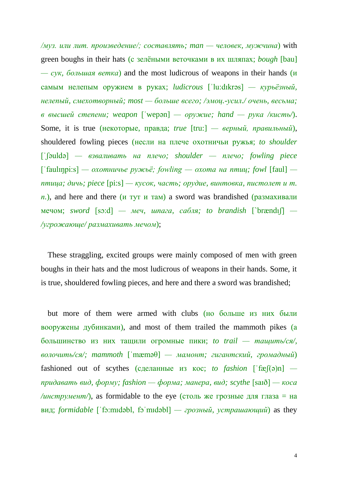*/муз. или лит. произведение/; составлять; man — человек, мужчина*) with green boughs in their hats (с зелёными веточками в их шляпах; *bough* [bau] *— сук, большая ветка*) and the most ludicrous of weapons in their hands (и самым нелепым оружием в руках; *ludicrous* [ˈlu:dɪkrəs] *— курьёзный, нелепый, смехотворный; most — больше всего; /эмоц.-усил./ очень, весьма; в высшей степени; weapon* [ˈwepən] *— оружие; hand — рука /кисть/*). Some, it is true (некоторые, правда; *true* [tru:] *— верный, правильный*), shouldered fowling pieces (несли на плече охотничьи ружья; *to shoulder*  [ˈʃəuldə] *— взваливать на плечо; shoulder — плечо; fowling piece*  [ˈfaulɪŋpi:s] *— охотничье ружьё; fowling — охота на птиц; fowl* [faul]  *птица; дичь; piece* [pi:s] *— кусок, часть; орудие, винтовка, пистолет и т.*   $n$ ), and here and there (*и* тут *и* там) a sword was brandished (размахивали мечом; *sword* [sɔ:d] *— меч, шпага, сабля; to brandish* [`brændıʃ] *— /угрожающе/ размахивать мечом*);

These straggling, excited groups were mainly composed of men with green boughs in their hats and the most ludicrous of weapons in their hands. Some, it is true, shouldered fowling pieces, and here and there a sword was brandished;

but more of them were armed with clubs (но больше из них были вооружены дубинками), and most of them trailed the mammoth pikes (а большинство из них тащили огромные пики; *to trail — тащить/ся/, волочить/ся/; mammoth* [ˈmæməθ] *— мамонт; гигантский, громадный*) fashioned out of scythes (сделанные из кос; *to fashion* [ˈfæʃ(ə)n]  *придавать вид, форму; fashion — форма; манера, вид; scythe* [saɪð] *— коса*  $\mu$ инструмент/), as formidable to the eye (столь же грозные для глаза = на вид; *formidable* [ˈfɔ:mɪdəbl, fɔˈmɪdəbl] *— грозный, устрашающий*) as they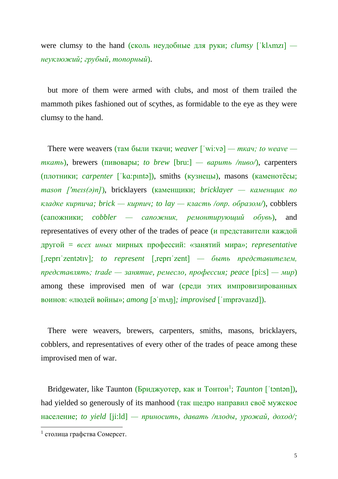were clumsy to the hand (сколь неудобные для руки; *clumsy* [ˈklʌmzɪ]  *неуклюжий; грубый, топорный*).

but more of them were armed with clubs, and most of them trailed the mammoth pikes fashioned out of scythes, as formidable to the eye as they were clumsy to the hand.

There were weavers (там были ткачи; *weaver* [ˈwi:və] *— ткач; to weave ткать*), brewers (пивовары; *to brew* [bru:] *— варить /пиво/*), carpenters (плотники; *carpenter* [ˈkɑ:pıntə]), smiths (кузнецы), masons (каменотёсы; *mason ['meɪs(ə)n]*), bricklayers (каменщики; *bricklayer — каменщик по кладке кирпича; brick — кирпич; to lay — класть /опр. образом/*), cobblers (сапожники; *cobbler — сапожник, ремонтирующий обувь*), and representatives of every other of the trades of peace (и представители каждой другой = *всех иных* мирных профессий: «занятий мира»; *representative*  [,reprɪˈzentətɪv]*; to represent* [,reprɪˈzent] *— быть представителем, представлять; trade — занятие, ремесло, профессия; peace* [pi:s] *— мир*) among these improvised men of war (среди этих импровизированных воинов: «людей войны»; *among* [əˈmʌŋ]*; improvised* [ˈɪmprəvaɪzd]).

There were weavers, brewers, carpenters, smiths, masons, bricklayers, cobblers, and representatives of every other of the trades of peace among these improvised men of war.

Bridgewater, like Taunton (Бриджуотер, как и Тонтон<sup>1</sup>; Taunton ['tontan]), had yielded so generously of its manhood (так щедро направил своё мужское население; *to yield* [ji:ld] *— приносить, давать /плоды, урожай, доход/;* 

 $\overline{a}$ 

<sup>1</sup> столица графства Сомерсет.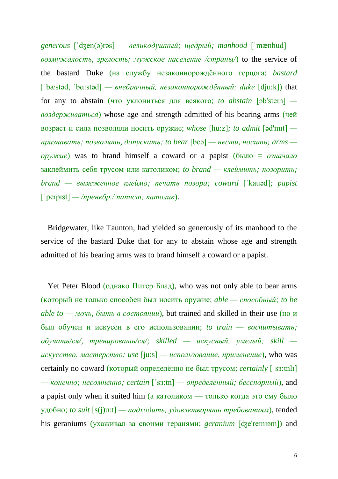*generous* [ˈdʒen(ə)rəs] *— великодушный; щедрый; manhood* [ˈmænhud]  *возмужалость, зрелость; мужское население /страны/*) to the service of the bastard Duke (на службу незаконнорождённого герцога; *bastard*  [ˈbæstəd, ˈbɑ:stəd] *— внебрачный, незаконнорождённый; duke* [dju:k]) that for any to abstain (что уклониться для всякого; *to abstain* [əb'steɪn]  *воздерживаться*) whose age and strength admitted of his bearing arms (чей возраст и сила позволяли носить оружие; *whose* [hu:z]*; to admit* [əd'mɪt]  *признавать; позволять, допускать; to bear* [beə] *— нести, носить; arms оружие*) was to brand himself a coward or a papist (было = *означало* заклеймить себя трусом или католиком; *to brand — клеймить; позорить; brand — выжженное клеймо; печать позора; coward* [ˈkauəd]*; papist*  [ˈpeɪpɪst] *— /пренебр./ папист; католик*).

Bridgewater, like Taunton, had yielded so generously of its manhood to the service of the bastard Duke that for any to abstain whose age and strength admitted of his bearing arms was to brand himself a coward or a papist.

Yet Peter Blood (однако Питер Блад), who was not only able to bear arms (который не только способен был носить оружие; *able — способный; to be able to — мочь, быть в состоянии*), but trained and skilled in their use (но и был обучен и искусен в его использовании; *to train — воспитывать; обучать/ся/, тренировать/ся/; skilled — искусный, умелый; skill искусство, мастерство; use* [ju:s] *— использование, применение*), who was certainly no coward (который определённо не был трусом; *certainly* [ˈsɜ:tnlı] *— конечно; несомненно; certain* [ˈsɜ:tn] *— определённый; бесспорный*), and a papist only when it suited him (а католиком — только когда это ему было удобно; *to suit* [s(j)u:t] *— подходить, удовлетворять требованиям*), tended his geraniums (ухаживал за своими геранями; *geranium* [фетенизм]) and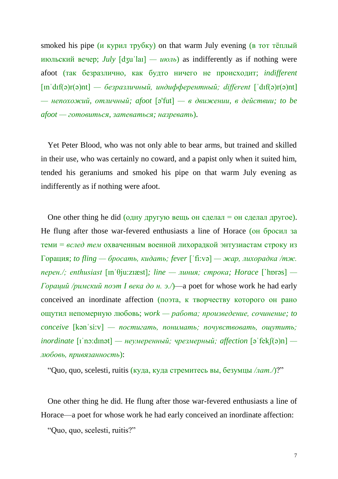smoked his pipe (*и курил трубку*) on that warm July evening (**в** тот тёплый июльский вечер; *July* [dʒuˈlaɪ] *— июль*) as indifferently as if nothing were afoot (так безразлично, как будто ничего не происходит; *indifferent*  [ɪnˈdɪf(ə)r(ə)nt] *— безразличный, индифферентный; different* [ˈdɪf(ə)r(ə)nt] *— непохожий, отличный; afoot* [ə'fut] *— в движении, в действии; to be afoot — готовиться, затеваться; назревать*).

Yet Peter Blood, who was not only able to bear arms, but trained and skilled in their use, who was certainly no coward, and a papist only when it suited him, tended his geraniums and smoked his pipe on that warm July evening as indifferently as if nothing were afoot.

One other thing he did (одну другую вещь он сделал  $=$  он сделал другое). He flung after those war-fevered enthusiasts a line of Horace (он бросил за теми = *вслед тем* охваченным военной лихорадкой энтузиастам строку из Горация; *to fling — бросать, кидать; fever* [ˈfi:və] *— жар, лихорадка /тж. перен./; enthusiast* [ɪnˈθju:zɪæst]*; line — линия; строка; Horace* [`hɒrəs] *— Гораций /римский поэт I века до н. э./*)—a poet for whose work he had early conceived an inordinate affection (поэта, к творчеству которого он рано ощутил непомерную любовь; *work — работа; произведение, сочинение; to conceive* [kənˈsi:v] *— постигать, понимать; почувствовать, ощутить; inordinate* [ɪˈnɔ:dɪnət] *— неумеренный; чрезмерный; affection* [əˈfekʃ(ə)n]  *любовь, привязанность*):

"Quo, quo, scelesti, ruitis (куда, куда стремитесь вы, безумцы */лат./*)?"

One other thing he did. He flung after those war-fevered enthusiasts a line of Horace—a poet for whose work he had early conceived an inordinate affection:

"Quo, quo, scelesti, ruitis?"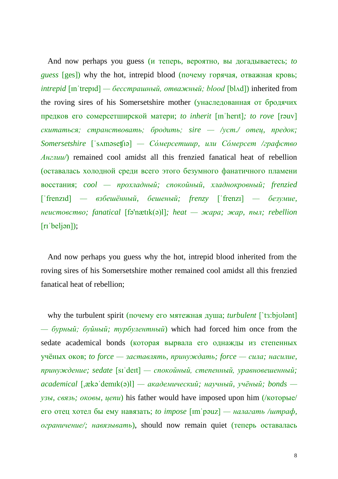And now perhaps you guess (и теперь, вероятно, вы догадываетесь; *to guess* [ges]) why the hot, intrepid blood (почему горячая, отважная кровь; *intrepid* [ɪnˈtrepɪd] *— бесстрашный, отважный; blood* [blʌd]) inherited from the roving sires of his Somersetshire mother (унаследованная от бродячих предков его сомерсетширской матери; *to inherit* [ɪnˈherɪt]*; to rove* [rəuv] *скитаться; странствовать; бродить; sire — /уст./ отец, предок; Somersetshire* [ˈsʌməseʧıə] *— Со́мерсетшир, или Со́мерсет /графство Англии/*) remained cool amidst all this frenzied fanatical heat of rebellion (оставалась холодной среди всего этого безумного фанатичного пламени восстания; *cool — прохладный; спокойный, хладнокровный; frenzied*  [ˈfrenzɪd] *— взбешённый, бешеный; frenzy* [ˈfrenzɪ] *— безумие, неистовство; fanatical* [fə'nætɪk(ə)l]*; heat — жара; жар, пыл; rebellion*  [rɪˈbeljən]);

And now perhaps you guess why the hot, intrepid blood inherited from the roving sires of his Somersetshire mother remained cool amidst all this frenzied fanatical heat of rebellion;

why the turbulent spirit (почему его мятежная душа; *turbulent* [`tɜ:bjʊlənt] *— бурный; буйный; турбулентный*) which had forced him once from the sedate academical bonds (которая вырвала его однажды из степенных учёных оков; *to force — заставлять, принуждать; force — сила; насилие, принуждение; sedate* [sɪˈdeɪt] *— спокойный, степенный, уравновешенный; academical* [,ækəˈdemɪk(ə)l] *— академический; научный, учёный; bonds узы, связь; оковы, цепи*) his father would have imposed upon him (/которые/ его отец хотел бы ему навязать; *to impose* [ɪmˈpəuz] *— налагать /штраф, ограничение/; навязывать*), should now remain quiet (теперь оставалась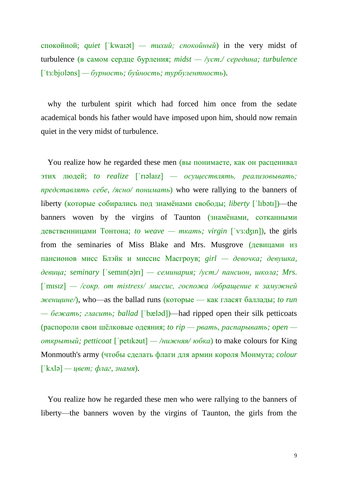спокойной; *quiet* [ˈkwaɪət] *— тихий; спокойный*) in the very midst of turbulence (в самом сердце бурления; *midst — /уст./ середина; turbulence*  [ˈtɜ:bjʊləns] *— бурность; буйность; турбулентность*).

why the turbulent spirit which had forced him once from the sedate academical bonds his father would have imposed upon him, should now remain quiet in the very midst of turbulence.

You realize how he regarded these men (вы понимаете, как он расценивал этих людей; *to realize* [ˈrɪəlaɪz] *— осуществлять, реализовывать; представлять себе, /ясно/ понимать*) who were rallying to the banners of liberty (которые собирались под знамёнами свободы; *liberty* [ˈlɪbətɪ])—the banners woven by the virgins of Taunton (знамёнами, сотканными девственницами Тонтона; *to weave — ткать; virgin* [ˈvɜ:ʤın]), the girls from the seminaries of Miss Blake and Mrs. Musgrove (девицами из пансионов мисс Блэйк и миссис Масгроув; *girl — девочка; девушка, девица; seminary* [ˈsemɪn(ə)rɪ] *— семинария; /уст./ пансион, школа; Mrs.*  [ˈmɪsɪz] *— /сокр. от mistress/ миссис, госпожа /обращение к замужней женщине/*), who—as the ballad runs (которые — как гласят баллады; *to run — бежать; гласить; ballad* [ˈbæləd])—had ripped open their silk petticoats (распороли свои шёлковые одеяния; *to rip — рвать, распарывать; open открытый; petticoat* [ˈpetɪkəut] *— /нижняя/ юбка*) to make colours for King Monmouth's army (чтобы сделать флаги для армии короля Монмута; *colour*  [ˈkʌlə] *— цвет; флаг, знамя*).

You realize how he regarded these men who were rallying to the banners of liberty—the banners woven by the virgins of Taunton, the girls from the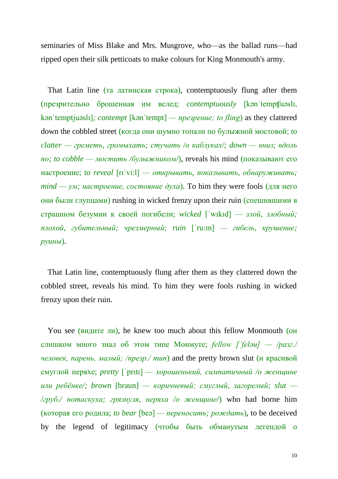seminaries of Miss Blake and Mrs. Musgrove, who—as the ballad runs—had ripped open their silk petticoats to make colours for King Monmouth's army.

That Latin line (та латинская строка), contemptuously flung after them (презрительно брошенная им вслед; *contemptuously* [kənˈtempʧuəslɪ, kənˈtemptjuəslɪ]*; contempt* [kənˈtempt] *— презрение; to fling*) as they clattered down the cobbled street (когда они шумно топали по булыжной мостовой; *to clatter — греметь, громыхать; стучать /о каблуках/; down — вниз; вдоль по; to cobble — мостить /булыжником/*), reveals his mind (показывают его настроение; *to reveal* [rɪˈvi:l] *— открывать, показывать, обнаруживать; mind — ум; настроение, состояние духа*). To him they were fools (для него они были глупцами) rushing in wicked frenzy upon their ruin (спешившими в страшном безумии к своей погибели; *wicked* [ˈwɪkɪd] *— злой, злобный; плохой, губительный; чрезмерный; ruin* [ˈru:ɪn] *— гибель, крушение; руины*).

That Latin line, contemptuously flung after them as they clattered down the cobbled street, reveals his mind. To him they were fools rushing in wicked frenzy upon their ruin.

You see (видите ли), he knew too much about this fellow Monmouth (он слишком много знал об этом типе Монмуте; *fellow [ˈfeləu] — /разг./ человек, парень, малый; /презр./ тип*) and the pretty brown slut (и красивой смуглой неряхе; *pretty* [ˈprɪtɪ] *— хорошенький, симпатичный /о женщине или ребёнке/; brown* [braun] *— коричневый; смуглый, загорелый; slut — /груб./ потаскуха; грязнуля, неряха /о женщине/*) who had borne him (которая его родила; *to bear* [beə] *— переносить; рождать*), to be deceived by the legend of legitimacy (чтобы быть обманутым легендой о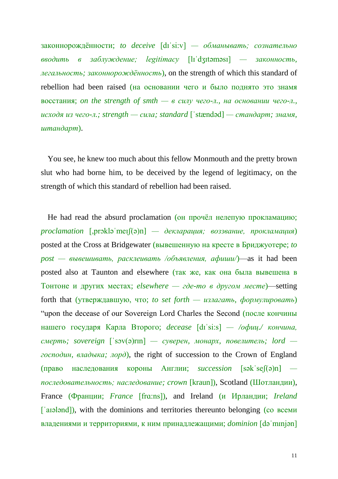законнорождённости; *to deceive* [dɪˈsi:v] *— обманывать; сознательно вводить в заблуждение; legitimacy* [lɪˈdʒɪtəməsɪ] *— законность, легальность; законнорождённость*), on the strength of which this standard of rebellion had been raised (на основании чего и было поднято это знамя восстания; *on the strength of smth — в силу чего-л., на основании чего-л., исходя из чего-л.; strength — сила; standard* [ˈstændəd] *— стандарт; знамя, штандарт*).

You see, he knew too much about this fellow Monmouth and the pretty brown slut who had borne him, to be deceived by the legend of legitimacy, on the strength of which this standard of rebellion had been raised.

He had read the absurd proclamation (он прочёл нелепую прокламацию; *proclamation* [,prɔkləˈmeɪʃ(ə)n] *— декларация; воззвание, прокламация*) posted at the Cross at Bridgewater (вывешенную на кресте в Бриджуотере; *to post — вывешивать, расклеивать /объявления, афиши/*)—as it had been posted also at Taunton and elsewhere (так же, как она была вывешена в Тонтоне и других местах; *elsewhere — где-то в другом месте*)—setting forth that (утверждавшую, что; *to set forth — излагать, формулировать*) "upon the decease of our Sovereign Lord Charles the Second (после кончины нашего государя Карла Второго; *decease* [dɪˈsi:s] *— /офиц./ кончина, смерть; sovereign* [ˈsɔv(ə)rɪn] *— суверен, монарх, повелитель; lord господин, владыка; лорд*), the right of succession to the Crown of England (право наследования короны Англии; *succession* [səkˈseʃ(ə)n]  *последовательность; наследование; crown* [kraun]), Scotland (Шотландии), France (Франции; *France* [frɑ:ns]), and Ireland (и Ирландии; *Ireland*  ['aɪələnd]), with the dominions and territories thereunto belonging (со всеми владениями и территориями, к ним принадлежащими; *dominion* [dəˈmɪnjən]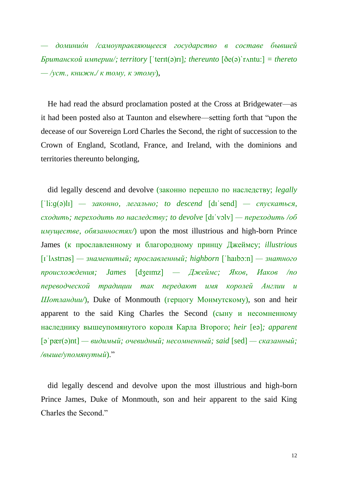*— доминио́н /самоуправляющееся государство в составе бывшей Британской империи/; territory* [ˈterɪt(ə)rɪ]*; thereunto* [ðe(ə)`rʌntu:] *= thereto — /уст., книжн./ к тому, к этому*),

He had read the absurd proclamation posted at the Cross at Bridgewater—as it had been posted also at Taunton and elsewhere—setting forth that "upon the decease of our Sovereign Lord Charles the Second, the right of succession to the Crown of England, Scotland, France, and Ireland, with the dominions and territories thereunto belonging,

did legally descend and devolve (законно перешло по наследству; *legally*  [ˈli:ɡ(ə)lɪ] *— законно, легально; to descend* [dɪˈsend] *— спускаться, сходить; переходить по наследству; to devolve* [dɪˈvɔlv] *— переходить /об имуществе, обязанностях/*) upon the most illustrious and high-born Prince James (к прославленному и благородному принцу Джеймсу; *illustrious*  [ɪˈlʌstrɪəs] *— знаменитый; прославленный; highborn* [ˈhaıbɔ:n] *— знатного происхождения; James* [dʒeɪmz] *— Джеймс; Яков, Иаков /по переводческой традиции так передают имя королей Англии и Шотландии/*), Duke of Monmouth (герцогу Монмутскому), son and heir apparent to the said King Charles the Second (сыну и несомненному наследнику вышеупомянутого короля Карла Второго; *heir* [eə]*; apparent* [əˈpær(ə)nt] *— видимый; очевидный; несомненный; said* [sed] *— сказанный; /выше/упомянутый*)."

did legally descend and devolve upon the most illustrious and high-born Prince James, Duke of Monmouth, son and heir apparent to the said King Charles the Second."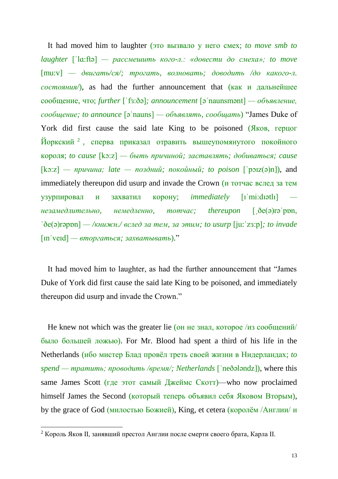It had moved him to laughter (это вызвало у него смех; *to move smb to laughter* [ˈlɑ:ftə] *— рассмешить кого-л.: «довести до смеха»; to move* [mu:v] *— двигать/ся/; трогать, волновать; доводить /до какого-л. состояния/*), as had the further announcement that (как и дальнейшее сообщение, что; *further* [ˈfɜ:ðə]*; announcement* [əˈnaunsmənt] *— объявление, сообщение; to announce* [əˈnauns] *— объявлять, сообщать*) "James Duke of York did first cause the said late King to be poisoned (Яков, герцог Йоркский <sup>2</sup> , сперва приказал отравить вышеупомянутого покойного короля; *to cause* [kɔ:z] *— быть причиной; заставлять; добиваться; cause*   $[kz]$  *— причина; late — поздний; покойный; to poison*  $[\text{pəiz}(\vartheta)n]$ , and immediately thereupon did usurp and invade the Crown (и тотчас вслед за тем узурпировал и захватил корону; *immediately* [ıˈmi:dıətlı]  *незамедлительно, немедленно, тотчас; thereupon* [ˏðe(ə)rəˈpɒn, ˈðe(ə)rəpɒn] *— /книжн./ вслед за тем, за этим; to usurp* [ju:ˈzɜ:p]*; to invade*  [ɪnˈveɪd] *— вторгаться; захватывать*)."

It had moved him to laughter, as had the further announcement that "James Duke of York did first cause the said late King to be poisoned, and immediately thereupon did usurp and invade the Crown."

He knew not which was the greater lie (он не знал, которое /из сообщений/ было большей ложью). For Mr. Blood had spent a third of his life in the Netherlands (ибо мистер Блад провёл треть своей жизни в Нидерландах; *to spend — тратить; проводить /время/; Netherlands* [ˈneðələndz]), where this same James Scott (где этот самый Джеймс Скотт)—who now proclaimed himself James the Second (который теперь объявил себя Яковом Вторым), by the grace of God (милостью Божией), King, et cetera (королём /Англии/ и

 $\overline{a}$ 

<sup>&</sup>lt;sup>2</sup> Король Яков II, занявший престол Англии после смерти своего брата, Карла II.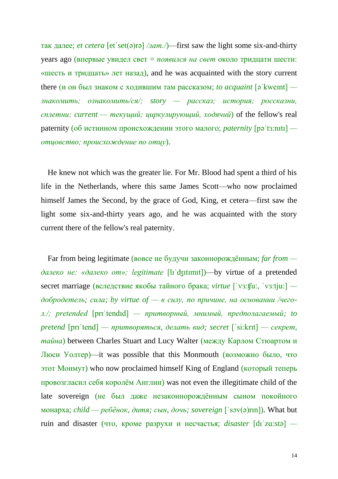так далее; *et cetera* [et`set(ə)rə] */лат./*)—first saw the light some six-and-thirty years ago (впервые увидел свет = *появился на свет* около тридцати шести: «шесть и тридцать» лет назад), and he was acquainted with the story current there (и он был знаком с ходившим там рассказом; *to acquaint*  $\lceil \varphi \rceil$  kweint $\lceil -\varphi \rceil$ *знакомить; ознакомить/ся/; story — рассказ; история; россказни, сплетни; current — текущий; циркулирующий, ходячий*) of the fellow's real paternity (об истинном происхождении этого малого; *paternity* [pəˈtɜ:nıtı]  *отцовство; происхождение по отцу*).

He knew not which was the greater lie. For Mr. Blood had spent a third of his life in the Netherlands, where this same James Scott—who now proclaimed himself James the Second, by the grace of God, King, et cetera—first saw the light some six-and-thirty years ago, and he was acquainted with the story current there of the fellow's real paternity.

Far from being legitimate (вовсе не будучи законнорождённым; *far from далеко не: «далеко от»; legitimate* [lıˈʤıtımıt])—by virtue of a pretended secret marriage (вследствие якобы тайного брака; *virtue* [ˈvɜ:ʧu:, ˈvɜ:tju:]  *добродетель; сила; by virtue of — в силу, по причине, на основании /чегол./; pretended* [prɪˈtendɪd] *— притворный, мнимый, предполагаемый; to pretend* [prɪˈtend] *— притворяться, делать вид; secret* [ˈsi:krıt] *— секрет, тайна*) between Charles Stuart and Lucy Walter (между Карлом Стюартом и Люси Уолтер)—it was possible that this Monmouth (возможно было, что этот Монмут) who now proclaimed himself King of England (который теперь провозгласил себя королём Англии) was not even the illegitimate child of the late sovereign (не был даже незаконнорождённым сыном покойного монарха; *child — ребёнок, дитя; сын, дочь; sovereign* [ˈsɔv(ə)rɪn]). What but ruin and disaster (что, кроме разрухи и несчастья; *disaster* [dıˈzɑ:stə] *—*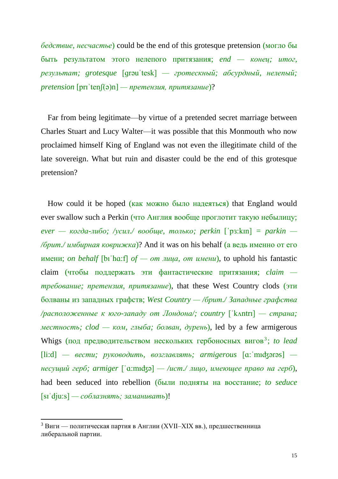*бедствие, несчастье*) could be the end of this grotesque pretension (могло бы быть результатом этого нелепого притязания; *end — конец; итог, результат; grotesque* [ɡrəuˈtesk] *— гротескный; абсурдный, нелепый; pretension* [prɪˈtenʃ(ə)n] *— претензия, притязание*)?

Far from being legitimate—by virtue of a pretended secret marriage between Charles Stuart and Lucy Walter—it was possible that this Monmouth who now proclaimed himself King of England was not even the illegitimate child of the late sovereign. What but ruin and disaster could be the end of this grotesque pretension?

How could it be hoped (как можно было надеяться) that England would ever swallow such a Perkin (что Англия вообще проглотит такую небылицу; *ever — когда-либо; /усил./ вообще, только; perkin* [ˈpɜ:kɪn] *= parkin — /брит./ имбирная коврижка*)? And it was on his behalf (а ведь именно от его имени; *on behalf* [bıˈhɑ:f] *of — от лица, от имени*), to uphold his fantastic claim (чтобы поддержать эти фантастические притязания; *claim требование; претензия, притязание*), that these West Country clods (эти болваны из западных графств; *West Country — /брит./ Западные графства /расположенные к юго-западу от Лондона/; country* [ˈkʌntrɪ] *— страна; местность; clod — ком, глыба; болван, дурень*), led by a few armigerous Whigs (под предводительством нескольких гербоносных вигов<sup>3</sup>; to lead [li:d] *— вести; руководить, возглавлять; armigerous* [ɑ:ˈmıʤərəs]  *несущий герб; armiger* [ˈɑ:mıʤə] *— /ист./ лицо, имеющее право на герб*), had been seduced into rebellion (были подняты на восстание; *to seduce*  [sɪˈdju:s] *— соблазнять; заманивать*)!

**.** 

 $3$  Виги — политическая партия в Англии (XVII–XIX вв.), предшественница либеральной партии.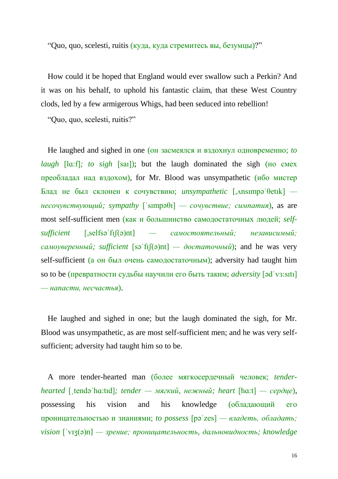"Quo, quo, scelesti, ruitis (куда, куда стремитесь вы, безумцы)?"

How could it be hoped that England would ever swallow such a Perkin? And it was on his behalf, to uphold his fantastic claim, that these West Country clods, led by a few armigerous Whigs, had been seduced into rebellion!

"Quo, quo, scelesti, ruitis?"

He laughed and sighed in one (он засмеялся и вздохнул одновременно; *to laugh* [la:f]; to sigh [sai]); but the laugh dominated the sigh (но смех преобладал над вздохом), for Mr. Blood was unsympathetic (ибо мистер Блад не был склонен к сочувствию; *unsympathetic* [,ʌnsɪmpəˈθetɪk]  *несочувствующий; sympathy* [ˈsɪmpəθɪ] *— сочувствие; симпатия*), as are most self-sufficient men (как и большинство самодостаточных людей; *selfsufficient* [,selfsəˈfɪʃ(ə)nt] *— самостоятельный; независимый; самоуверенный; sufficient* [səˈfɪʃ(ə)nt] *— достаточный*); and he was very self-sufficient (а он был очень самодостаточным); adversity had taught him so to be (превратности судьбы научили его быть таким; *adversity* [ədˈvɜ:sıtı] *— напасти, несчастья*).

He laughed and sighed in one; but the laugh dominated the sigh, for Mr. Blood was unsympathetic, as are most self-sufficient men; and he was very selfsufficient; adversity had taught him so to be.

A more tender-hearted man (более мягкосердечный человек; *tenderhearted* [ˏtendəˈhɑ:tıd]*; tender — мягкий, нежный; heart* [hɑ:t] *— сердце*), possessing his vision and his knowledge (обладающий его проницательностью и знаниями; *to possess* [pəˈzes] *— владеть, обладать; vision* [ˈvɪʒ(ə)n] *— зрение; проницательность, дальновидность; knowledge*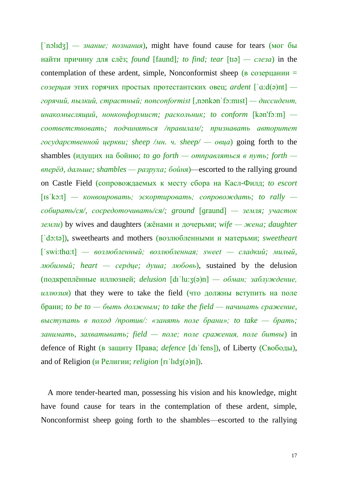[ˈnɔlɪdʒ] *— знание; познания*), might have found cause for tears (мог бы найти причину для слёз; *found* [faund]*; to find; tear* [tɪə] *— слеза*) in the contemplation of these ardent, simple, Nonconformist sheep ( $\overline{B}$  созерцании = *созерцая* этих горячих простых протестантских овец; *ardent* [ˈɑ:d(ə)nt]  *горячий, пылкий, страстный; nonconformist* [,nɔnkənˈfɔ:mɪst] *— диссидент, инакомыслящий, нонконформист; раскольник; to conform* [kən'fɔːm]  *соответствовать; подчиняться /правилам/; признавать авторитет государственной церкви; sheep /мн. ч. sheep/ — овца*) going forth to the shambles (идущих на бойню; *to go forth — отправляться в путь; forth вперёд, дальше; shambles — разруха; бойня*)—escorted to the rallying ground on Castle Field (сопровождаемых к месту сбора на Касл-Филд; *to escort*  [ɪsˈkɔ:t] *— конвоировать; эскортировать; сопровождать; to rally собирать/ся/, сосредоточивать/ся/; ground* [ɡraund] *— земля; участок земли*) by wives and daughters (жёнами и дочерьми; *wife — жена; daughter*  [ˈdɔ:tə]), sweethearts and mothers (возлюбленными и матерьми; *sweetheart*  [ˈswi:thɑ:t] *— возлюбленный; возлюбленная; sweet — сладкий; милый, любимый; heart — сердце; душа; любовь*), sustained by the delusion (подкреплённые иллюзией; *delusion* [dɪˈlu:ʒ(ə)n] *— обман; заблуждение, иллюзия*) that they were to take the field (что должны вступить на поле брани; *to be to — быть должным; to take the field — начинать сражение, выступать в поход /против/: «занять поле брани»; to take — брать; занимать, захватывать; field — поле; поле сражения, поле битвы*) in defence of Right (в защиту Права; *defence* [dıˈfens]), of Liberty (Свободы), and of Religion (и Религии; *religion* [rɪˈlɪdʒ(ə)n]).

A more tender-hearted man, possessing his vision and his knowledge, might have found cause for tears in the contemplation of these ardent, simple, Nonconformist sheep going forth to the shambles—escorted to the rallying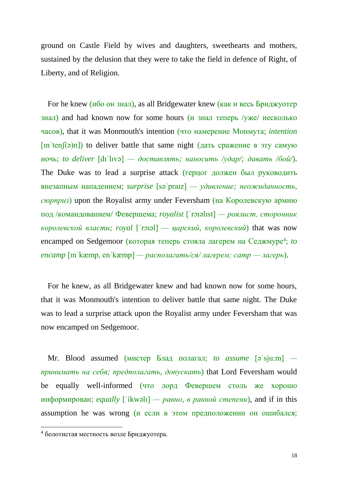ground on Castle Field by wives and daughters, sweethearts and mothers, sustained by the delusion that they were to take the field in defence of Right, of Liberty, and of Religion.

For he knew (ибо он знал), as all Bridgewater knew (как и весь Бриджуотер знал) and had known now for some hours (и знал теперь /уже/ несколько часов), that it was Monmouth's intention (что намерение Монмута; *intention*   $[\text{In 'ten}](\theta)$  to deliver battle that same night (дать сражение в эту самую ночь; *to deliver* [dɪˈlɪvə] *— доставлять; наносить /удар/; давать /бой/*). The Duke was to lead a surprise attack (герцог должен был руководить внезапным нападением; *surprise* [səˈpraɪz] *— удивление; неожиданность, сюрприз*) upon the Royalist army under Feversham (на Королевскую армию под /командованием/ Февершема; *royalist* [ˈrɔɪəlɪst] *— роялист, сторонник королевской власти; royal* [ˈrɔɪəl] *— царский, королевский*) that was now encamped on Sedgemoor (которая теперь стояла лагерем на Седжмуре<sup>4</sup>; to *encamp*  $\lceil \text{in} \rceil$   $\text{kæmp}, \text{en} \rceil$   $\text{kæmp}$   $\lceil -$  *располагать/ся*/ *лагерем; camp*  $\lceil -$  *лагерь*).

For he knew, as all Bridgewater knew and had known now for some hours, that it was Monmouth's intention to deliver battle that same night. The Duke was to lead a surprise attack upon the Royalist army under Feversham that was now encamped on Sedgemoor.

Mr. Blood assumed (мистер Блад полагал; *to assume* [əˈsju:m]  *принимать на себя; предполагать, допускать*) that Lord Feversham would be equally well-informed (что лорд Февершем столь же хорошо информирован; *equally* [ˈikwəlɪ] *— равно, в равной степени*), and if in this assumption he was wrong (и если в этом предположении он ошибался;

 $\overline{a}$ 

<sup>4</sup> болотистая местность возле Бриджуотера.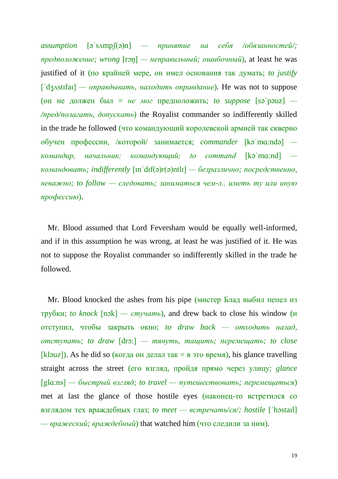*assumption* [əˈsʌmpʃ(ə)n] *— принятие на себя /обязанностей/; предположение; wrong* [rɔŋ] *— неправильный; ошибочный*), at least he was justified of it (по крайней мере, он имел основания так думать; *to justify* [ˈdʒʌstɪfaɪ] *— оправдывать, находить оправдание*). He was not to suppose (он не должен был = *не мог* предположить; *to suppose* [səˈpəuz] *— /пред/полагать, допускать*) the Royalist commander so indifferently skilled in the trade he followed (что командующий королевской армией так скверно обучен профессии, /которой/ занимается; *commander* [kəˈmɑ:ndə]  *командир, начальник; командующий; to command* [kəˈmɑ:nd]  *командовать; indifferently* [ɪnˈdɪf(ə)r(ə)ntlɪ] *— безразлично; посредственно, неважно; to follow — следовать; заниматься чем-л., иметь ту или иную профессию*).

Mr. Blood assumed that Lord Feversham would be equally well-informed, and if in this assumption he was wrong, at least he was justified of it. He was not to suppose the Royalist commander so indifferently skilled in the trade he followed.

Mr. Blood knocked the ashes from his pipe (мистер Блад выбил пепел из трубки; *to knock* [nɔk] *— стучать*), and drew back to close his window (и отступил, чтобы закрыть окно; *to draw back — отходить назад, отступать; to draw* [drɔ:] *— тянуть, тащить; перемещать; to close*  [kləuz]). As he did so (когда он делал так = в это время), his glance travelling straight across the street (его взгляд, пройдя прямо через улицу; *glance*  [glɑ:ns] *— быстрый взгляд; to travel — путешествовать; перемещаться*) met at last the glance of those hostile eyes (наконец-то встретился со взглядом тех враждебных глаз; *to meet — встречать/ся/; hostile* [ˈhɔstaɪl] *— вражеский; враждебный*) that watched him (что следили за ним).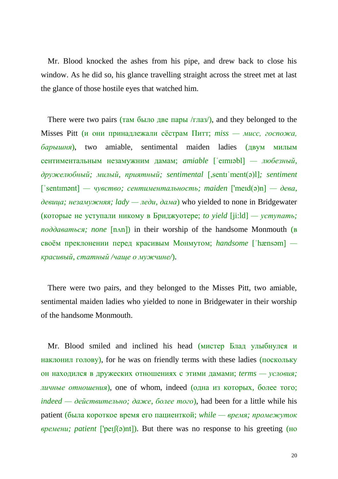Mr. Blood knocked the ashes from his pipe, and drew back to close his window. As he did so, his glance travelling straight across the street met at last the glance of those hostile eyes that watched him.

There were two pairs (там было две пары /глаз/), and they belonged to the Misses Pitt (и они принадлежали сёстрам Питт; *miss — мисс, госпожа, барышня*), two amiable, sentimental maiden ladies (двум милым сентиментальным незамужним дамам; *amiable* [ˈeɪmɪəbl] *— любезный, дружелюбный; милый, приятный; sentimental* [,sentɪˈment(ə)l]*; sentiment*  [ˈsentɪmənt] *— чувство; сентиментальность; maiden* ['meɪd(ə)n] *— дева, девица; незамужняя; lady — леди, дама*) who yielded to none in Bridgewater (которые не уступали никому в Бриджуотере; *to yield* [ji:ld] *— уступать; поддаваться; none* [nʌn]) in their worship of the handsome Monmouth (в своём преклонении перед красивым Монмутом; *handsome* [ˈhænsəm]  *красивый, статный /чаще о мужчине/*).

There were two pairs, and they belonged to the Misses Pitt, two amiable, sentimental maiden ladies who yielded to none in Bridgewater in their worship of the handsome Monmouth.

Mr. Blood smiled and inclined his head (мистер Блад улыбнулся и наклонил голову), for he was on friendly terms with these ladies (поскольку он находился в дружеских отношениях с этими дамами; *terms — условия; личные отношения*), one of whom, indeed (одна из которых, более того; *indeed — действительно; даже, более того*), had been for a little while his patient (была короткое время его пациенткой; *while — время; промежуток времени; patient* ['peɪʃ(ə)nt]). But there was no response to his greeting (но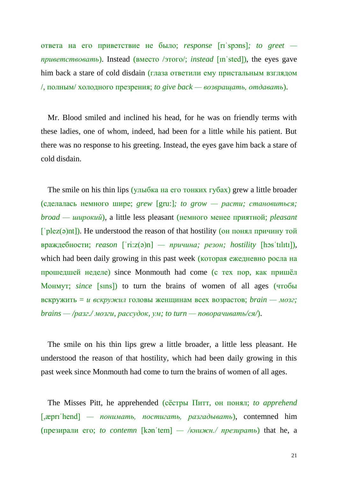ответа на его приветствие не было; *response* [rɪˈspɔns]*; to greet приветствовать*). Instead (вместо /этого/; *instead* [ɪnˈsted]), the eyes gave him back a stare of cold disdain (глаза ответили ему пристальным взглядом /, полным/ холодного презрения; *to give back — возвращать, отдавать*).

Mr. Blood smiled and inclined his head, for he was on friendly terms with these ladies, one of whom, indeed, had been for a little while his patient. But there was no response to his greeting. Instead, the eyes gave him back a stare of cold disdain.

The smile on his thin lips (улыбка на его тонких губах) grew a little broader (сделалась немного шире; *grew* [gru:]*; to grow — расти; становиться; broad — широкий*), a little less pleasant (немного менее приятной; *pleasant*  [ $'plez(\theta)$ nt]). He understood the reason of that hostility (он понял причину той враждебности; *reason* [ˈri:z(ə)n] *— причина; резон; hostility* [hɔsˈtɪlɪtɪ]), which had been daily growing in this past week (которая ежедневно росла на прошедшей неделе) since Monmouth had come (с тех пор, как пришёл Монмут; *since* [sıns]) to turn the brains of women of all ages (чтобы вскружить = *и вскружил* головы женщинам всех возрастов; *brain — мозг; brains — /разг./ мозги, рассудок, ум; to turn — поворачивать/ся/*).

The smile on his thin lips grew a little broader, a little less pleasant. He understood the reason of that hostility, which had been daily growing in this past week since Monmouth had come to turn the brains of women of all ages.

The Misses Pitt, he apprehended (сёстры Питт, он понял; *to apprehend*  [,æprɪˈhend] *— понимать, постигать, разгадывать*), contemned him (презирали его; *to contemn* [kənˈtem] *— /книжн./ презирать*) that he, a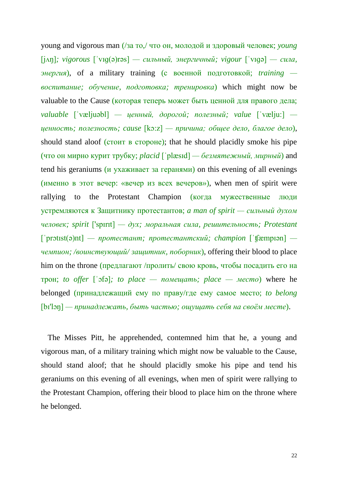young and vigorous man (/за то,/ что он, молодой и здоровый человек; *young*  [jʌŋ]*; vigorous* [ˈvɪɡ(ə)rəs] *— сильный, энергичный; vigour* [ˈvɪɡə] *— сила, энергия*), of a military training (с военной подготовкой; *training воспитание; обучение, подготовка; тренировка*) which might now be valuable to the Cause (которая теперь может быть ценной для правого дела; *valuable* [ˈvæljuəbl] *— ценный, дорогой; полезный; value* [ˈvælju:]  *ценность; полезность; cause* [kɔ:z] *— причина; общее дело, благое дело*), should stand aloof (*стоит в стороне*); that he should placidly smoke his pipe (что он мирно курит трубку; *placid* [ˈplæsɪd] *— безмятежный, мирный*) and tend his geraniums (и ухаживает за геранями) on this evening of all evenings (именно в этот вечер: «вечер из всех вечеров»), when men of spirit were rallying to the Protestant Champion (когда мужественные люди устремляются к Защитнику протестантов; *a man of spirit — сильный духом человек; spirit* ['spɪrɪt] *— дух; моральная сила, решительность; Protestant*  [ˈprɔtɪst(ə)nt] *— протестант; протестантский; champion* [ˈʧæmpɪən]  *чемпион; /воинствующий/ защитник, поборник*), offering their blood to place him on the throne (предлагают /пролить/ свою кровь, чтобы посадить его на трон; *to offer* [ˈɔfə]*; to place — помещать; place — место*) where he belonged (принадлежащий ему по праву/где ему самое место; *to belong*  [bɪ'lɔŋ] *— принадлежать, быть частью; ощущать себя на своём месте*).

The Misses Pitt, he apprehended, contemned him that he, a young and vigorous man, of a military training which might now be valuable to the Cause, should stand aloof; that he should placidly smoke his pipe and tend his geraniums on this evening of all evenings, when men of spirit were rallying to the Protestant Champion, offering their blood to place him on the throne where he belonged.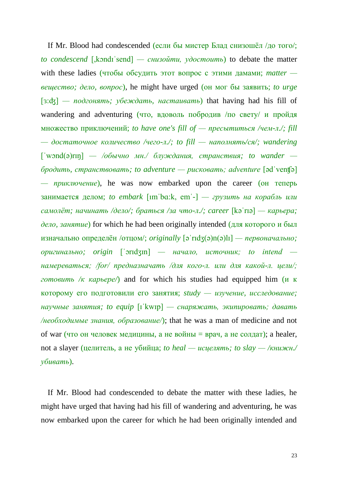If Mr. Blood had condescended (если бы мистер Блад снизошёл /до того/; *to condescend* [,kɔndɪˈsend] *— снизойти, удостоить*) to debate the matter with these ladies (чтобы обсудить этот вопрос с этими дамами; *matter вещество; дело, вопрос*), he might have urged (он мог бы заявить; *to urge*  [ɜ:ʤ] *— подгонять; убеждать, настаивать*) that having had his fill of wandering and adventuring (что, вдоволь побродив /по свету/ и пройдя множество приключений; *to have one's fill of — пресытиться /чем-л./; fill — достаточное количество /чего-л./; to fill — наполнять/ся/; wandering*  [ˈwɔnd(ə)rɪŋ] *— /обычно мн./ блуждания, странствия; to wander бродить, странствовать; to adventure — рисковать; adventure* [ədˈvenʧə] *— приключение*), he was now embarked upon the career (он теперь занимается делом; *to embark* [ımˈbɑ:k, emˈ-] *— грузить на корабль или самолёт; начинать /дело/; браться /за что-л./; career* [kəˈrɪə] *— карьера; дело, занятие*) for which he had been originally intended (для которого и был изначально определён /отцом/; *originally* [əˈrɪdʒ(ə)n(ə)lɪ] *— первоначально; оригинально; origin* [ˈɔrɪdʒɪn] *— начало, источник; to intend намереваться; /for/ предназначать /для кого-л. или для какой-л. цели/; готовить /к карьере/*) and for which his studies had equipped him (и к которому его подготовили его занятия; *study — изучение, исследование; научные занятия; to equip* [ɪˈkwɪp] *— снаряжать, экипировать; давать /необходимые знания, образование/*); that he was a man of medicine and not of war (что он человек медицины, а не войны = врач, а не солдат); a healer, not a slayer (целитель, а не убийца; *to heal — исцелять; to slay — /книжн./ убивать*).

If Mr. Blood had condescended to debate the matter with these ladies, he might have urged that having had his fill of wandering and adventuring, he was now embarked upon the career for which he had been originally intended and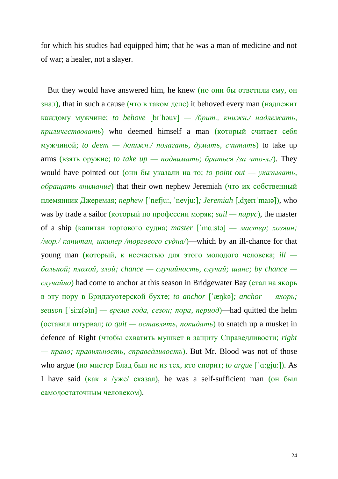for which his studies had equipped him; that he was a man of medicine and not of war; a healer, not a slayer.

But they would have answered him, he knew (но они бы ответили ему, он знал), that in such a cause (что в таком деле) it behoved every man (надлежит каждому мужчине; *to behove* [bɪˈhəuv] *— /брит., книжн./ надлежать, приличествовать*) who deemed himself a man (который считает себя мужчиной; *to deem — /книжн./ полагать, думать, считать*) to take up arms (взять оружие; *to take up — поднимать; браться /за что-л./*). They would have pointed out (они бы указали на то; *to point out — указывать, обращать внимание*) that their own nephew Jeremiah (что их собственный племянник Джеремая; *nephew* [ˈnefju:, ˈnevju:]*; Jeremiah* [,dʒerɪˈmaɪə]), who was by trade a sailor (который по профессии моряк; *sail — парус*), the master of a ship (капитан торгового судна; *master* [ˈmɑ:stə] *— мастер; хозяин; /мор./ капитан, шкипер /торгового судна/*)—which by an ill-chance for that young man (который, к несчастью для этого молодого человека; *ill больной; плохой, злой; chance — случайность, случай; шанс; by chance случайно*) had come to anchor at this season in Bridgewater Bay (стал на якорь в эту пору в Бриджуотерской бухте; *to anchor* [ˈæŋkə]*; anchor — якорь;*   $s$ *eason*  $[$ 'si: $z(9)$ n] — *время года, сезон; пора, период*)—had quitted the helm (оставил штурвал; *to quit — оставлять, покидать*) to snatch up a musket in defence of Right (чтобы схватить мушкет в защиту Справедливости; *right — право; правильность, справедливость*). But Mr. Blood was not of those who argue (но мистер Блад был не из тех, кто спорит; *to argue* [ˈɑ:gju:]). As I have said (как я /уже/ сказал), he was a self-sufficient man (он был самодостаточным человеком).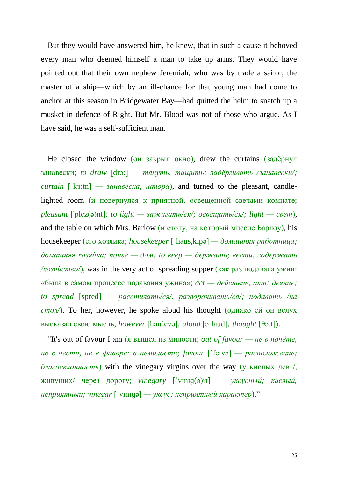But they would have answered him, he knew, that in such a cause it behoved every man who deemed himself a man to take up arms. They would have pointed out that their own nephew Jeremiah, who was by trade a sailor, the master of a ship—which by an ill-chance for that young man had come to anchor at this season in Bridgewater Bay—had quitted the helm to snatch up a musket in defence of Right. But Mr. Blood was not of those who argue. As I have said, he was a self-sufficient man.

He closed the window (он закрыл окно), drew the curtains (задёрнул занавески; *to draw* [drɔ:] *— тянуть, тащить; задёргивать /занавески/; curtain* [ˈkɜ:tn] *— занавеска, штора*), and turned to the pleasant, candlelighted room (и повернулся к приятной, освещённой свечами комнате; *pleasant* ['plez(ə)nt]*; to light — зажигать/ся/; освещать/ся/; light — свет*), and the table on which Mrs. Barlow (и столу, на который миссис Барлоу), his housekeeper (его хозяйка; *housekeeper* [ˈhaus,kipə] *— домашняя работница; домашняя хозяйка; house — дом; to keep — держать; вести, содержать*  $\sqrt{x}$ озяйство $\sqrt{x}$ , was in the very act of spreading supper (как раз подавала ужин: «была в са́мом процессе подавания ужина»; *act — действие, акт; деяние; to spread* [spred] *— расстилать/ся/, разворачивать/ся/; подавать /на стол/*). To her, however, he spoke aloud his thought (однако ей он вслух высказал свою мысль; *however* [hauˈevə]*; aloud* [əˈlaud]*; thought* [θɔ:t]).

"It's out of favour I am (я вышел из милости; *out of favour — не в почёте, не в чести, не в фаворе; в немилости; favour* [ˈfeɪvə] *— расположение; благосклонность*) with the vinegary virgins over the way (у кислых дев /, живущих/ через дорогу; *vinegary* [ˈvɪnɪɡ(ə)rɪ] *— уксусный; кислый, неприятный; vinegar* [ˈvɪnɪɡə] *— уксус; неприятный характер*)."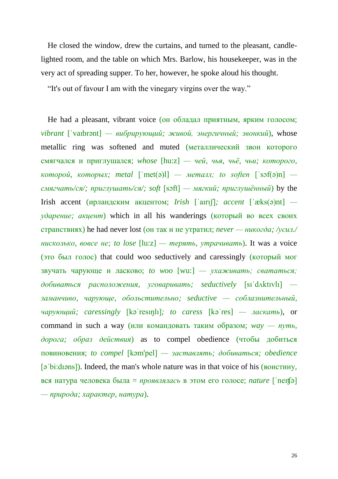He closed the window, drew the curtains, and turned to the pleasant, candlelighted room, and the table on which Mrs. Barlow, his housekeeper, was in the very act of spreading supper. To her, however, he spoke aloud his thought.

"It's out of favour I am with the vinegary virgins over the way."

He had a pleasant, vibrant voice (он обладал приятным, ярким голосом; *vibrant* [ˈvaɪbrənt] *— вибрирующий; живой, энергичный; звонкий*), whose metallic ring was softened and muted (металлический звон которого смягчался и приглушался; *whose* [hu:z] *— чей, чья, чьё, чьи; которого,*   $$ *смягчать/ся/; приглушать/ся/; soft* [sɔft] *— мягкий; приглушённый*) by the Irish accent (ирландским акцентом; *Irish* [ˈaɪrɪʃ]*; accent* [ˈæks(ə)nt]  *ударение; акцент*) which in all his wanderings (который во всех своих странствиях) he had never lost (он так и не утратил; *never — никогда; /усил./ нисколько, вовсе не; to lose* [lu:z] *— терять, утрачивать*). It was a voice (это был голос) that could woo seductively and caressingly (который мог звучать чарующе и ласково; *to woo* [wu:] *— ухаживать; свататься; добиваться расположения, уговаривать; seductively* [sıˈdʌktıvlı]  *заманчиво, чарующе, обольстительно; seductive — соблазнительный, чарующий; caressingly* [kəˈresıŋlı]*; to caress* [kəˈres] *— ласкать*), or command in such a way (или командовать таким образом; *way — путь, дорога; образ действия*) as to compel obedience (чтобы добиться повиновения; *to compel* [kəm'pel] *— заставлять; добиваться; obedience* [əˈbi:dıəns]). Indeed, the man's whole nature was in that voice of his (воистину, вся натура человека была = *проявлялась* в этом его голосе; *nature* [ˈneɪʧə] *— природа; характер, натура*).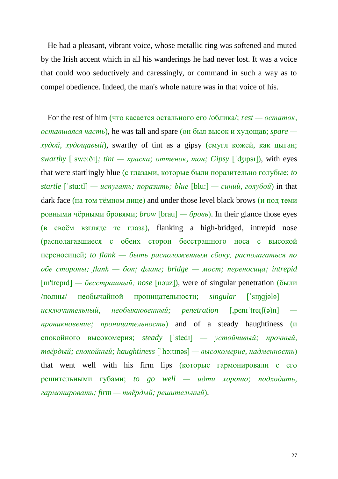He had a pleasant, vibrant voice, whose metallic ring was softened and muted by the Irish accent which in all his wanderings he had never lost. It was a voice that could woo seductively and caressingly, or command in such a way as to compel obedience. Indeed, the man's whole nature was in that voice of his.

For the rest of him (что касается остального его /облика/; *rest — остаток, оставшаяся часть*), he was tall and spare (он был высок и худощав; *spare худой, худощавый*), swarthy of tint as a gipsy (смугл кожей, как цыган; *swarthy* [ˈswɔ:ðɪ]*; tint — краска; оттенок, тон; Gipsy* [ˈʤıpsı]), with eyes that were startlingly blue (с глазами, которые были поразительно голубые; *to startle* [ˈstɑ:tl] *— испугать; поразить; blue* [blu:] *— синий, голубой*) in that dark face (на том тёмном лице) and under those level black brows (и под теми ровными чёрными бровями; *brow* [brau] *— бровь*). In their glance those eyes (в своём взгляде те глаза), flanking a high-bridged, intrepid nose (располагавшиеся с обеих сторон бесстрашного носа с высокой переносицей; *to flank — быть расположенным сбоку, располагаться по обе стороны; flank — бок; фланг; bridge — мост; переносица; intrepid*  [ɪn'trepɪd] *— бесстрашный; nose* [nəuz]), were of singular penetration (были /полны/ необычайной проницательности; *singular* [ˈsɪŋɡjələ]  *исключительный, необыкновенный; penetration* [,penɪˈtreɪʃ(ə)n]  *проникновение; проницательность*) and of a steady haughtiness (и спокойного высокомерия; *steady* [ˈstedɪ] *— устойчивый; прочный, твёрдый; спокойный; haughtiness* [ˈhɔ:tɪnəs] *— высокомерие, надменность*) that went well with his firm lips (которые гармонировали с его решительными губами; *to go well — идти хорошо; подходить, гармонировать; firm — твёрдый; решительный*).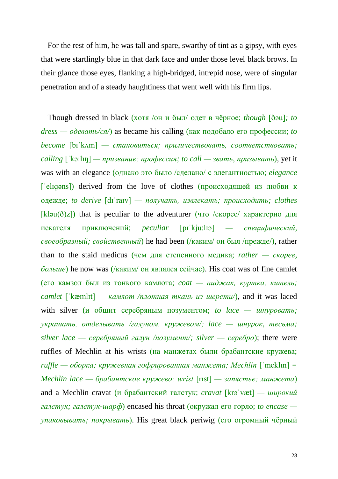For the rest of him, he was tall and spare, swarthy of tint as a gipsy, with eyes that were startlingly blue in that dark face and under those level black brows. In their glance those eyes, flanking a high-bridged, intrepid nose, were of singular penetration and of a steady haughtiness that went well with his firm lips.

Though dressed in black (хотя /он и был/ одет в чёрное; *though* [ðəu]*; to dress — одевать/ся/*) as became his calling (как подобало его профессии; *to become* [bɪˈkʌm] *— становиться; приличествовать, соответствовать; calling* [ˈkɔ:lɪŋ] *— призвание; профессия; to call — звать, призывать*), yet it was with an elegance (однако это было /сделано/ с элегантностью; *elegance*   $\lceil$  eligəns]) derived from the love of clothes (происходящей из любви к одежде; *to derive* [dɪˈraɪv] *— получать, извлекать; происходить; clothes*  [kləu( $\delta$ )z]) that is peculiar to the adventurer (что /скорее/ характерно для искателя приключений; *peculiar* [pɪˈkju:lɪə] *— специфический, своеобразный; свойственный*) he had been (/каким/ он был /прежде/), rather than to the staid medicus (чем для степенного медика; *rather — скорее, больше*) he now was (/каким/ он являлся сейчас). His coat was of fine camlet (его камзол был из тонкого камлота; *coat — пиджак, куртка, китель; camlet* [ˈkæmlɪt] *— камлот /плотная ткань из шерсти/*), and it was laced with silver (и обшит серебряным позументом; *to lace — шнуровать; украшать, отделывать /галуном, кружевом/; lace — шнурок, тесьма; silver lace — серебряный галун /позумент/; silver — серебро*); there were ruffles of Mechlin at his wrists (на манжетах были брабантские кружева; *ruffle — оборка; кружевная гофрированная манжета; Mechlin* [ˈmeklɪn] *= Mechlin lace — брабантское кружево; wrist* [rıst] *— запястье; манжета*) and a Mechlin cravat (и брабантский галстук; *cravat* [krəˈvæt] *— широкий галстук; галстук-шарф*) encased his throat (окружал его горло; *to encase упаковывать; покрывать*). His great black periwig (его огромный чёрный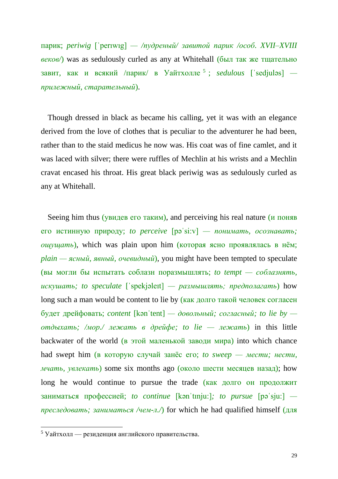парик; *periwig* [ˈperıwıg] *— /пудреный/ завитой парик /особ. XVII–XVIII веков/*) was as sedulously curled as any at Whitehall (был так же тщательно завит, как и всякий /парик/ в Уайтхолле <sup>5</sup> ; *sedulous* [ˈsedjuləs]  *прилежный, старательный*).

Though dressed in black as became his calling, yet it was with an elegance derived from the love of clothes that is peculiar to the adventurer he had been, rather than to the staid medicus he now was. His coat was of fine camlet, and it was laced with silver; there were ruffles of Mechlin at his wrists and a Mechlin cravat encased his throat. His great black periwig was as sedulously curled as any at Whitehall.

Seeing him thus (увидев его таким), and perceiving his real nature (и поняв его истинную природу; *to perceive* [pəˈsi:v] *— понимать, осознавать; ощущать*), which was plain upon him (которая ясно проявлялась в нём; *plain — ясный, явный, очевидный*), you might have been tempted to speculate (вы могли бы испытать соблазн поразмышлять; *to tempt — соблазнять, искушать; to speculate* [ˈspekjəleɪt] *— размышлять; предполагать*) how long such a man would be content to lie by (как долго такой человек согласен будет дрейфовать; *content* [kənˈtent] *— довольный; согласный; to lie by отдыхать; /мор./ лежать в дрейфе; to lie — лежать*) in this little backwater of the world (в этой маленькой заводи мира) into which chance had swept him (в которую случай занёс его; *to sweep — мести; нести, мчать, увлекать*) some six months ago (около шести месяцев назад); how long he would continue to pursue the trade (как долго он продолжит заниматься профессией; *to continue* [kənˈtɪnju:]*; to pursue* [pəˈsju:]  *преследовать; заниматься /чем-л./*) for which he had qualified himself (для

 $\overline{a}$ 

<sup>5</sup> Уайтхолл — резиденция английского правительства.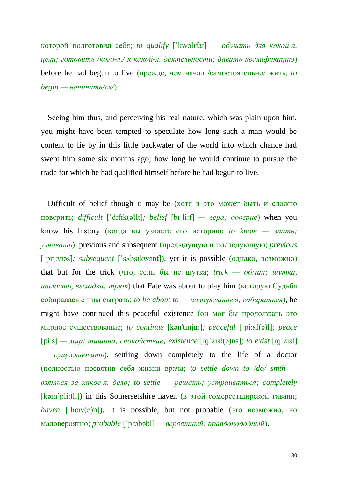которой подготовил себя; *to qualify* [ˈkwɔlɪfaɪ] *— обучать для какой-л. цели; готовить /кого-л./ к какой-л. деятельности; давать квалификацию*) before he had begun to live (прежде, чем начал /самостоятельно/ жить; *to begin — начинать/ся/*).

Seeing him thus, and perceiving his real nature, which was plain upon him, you might have been tempted to speculate how long such a man would be content to lie by in this little backwater of the world into which chance had swept him some six months ago; how long he would continue to pursue the trade for which he had qualified himself before he had begun to live.

Difficult of belief though it may be (хотя в это может быть и сложно поверить; *difficult* [ˈdɪfɪk(ə)lt]*; belief* [bɪˈli:f] *— вера; доверие*) when you know his history (когда вы узнаете его историю; *to know — знать; узнавать*), previous and subsequent (предыдущую и последующую; *previous*  [ˈpri:vɪəs]*; subsequent* [ˈsʌbsɪkwənt]), yet it is possible (однако, возможно) that but for the trick (что, если бы не шутка; *trick — обман; шутка, шалость, выходка; трюк*) that Fate was about to play him (которую Судьба собиралась с ним сыграть; *to be about to — намереваться, собираться*), he might have continued this peaceful existence (он мог бы продолжать это мирное существование; *to continue* [kən'tɪnjuː]*; peaceful* [ˈpi:sf(ə)l]*; peace*  [pi:s] *— мир; тишина, спокойствие; existence* [ɪɡˈzɪst(ə)ns]*; to exist* [ɪɡˈzɪst] *— существовать*), settling down completely to the life of a doctor (полностью посвятив себя жизни врача; *to settle down to /do/ smth взяться за какое-л. дело; to settle — решать; устраиваться; completely*  [kəmˈpli:tlɪ]) in this Somersetshire haven (в этой сомерсетширской гавани; *haven* [ˈheɪv(ə)n]). It is possible, but not probable (это возможно, но маловероятно; *probable* [ˈprɔbəbl] *— вероятный; правдоподобный*).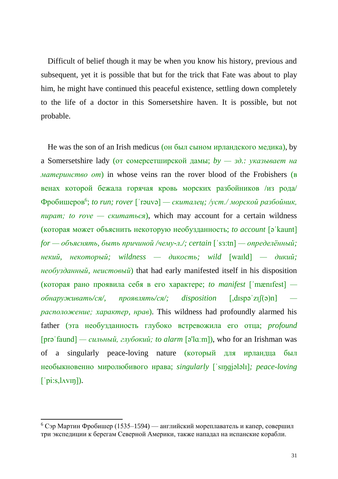Difficult of belief though it may be when you know his history, previous and subsequent, yet it is possible that but for the trick that Fate was about to play him, he might have continued this peaceful existence, settling down completely to the life of a doctor in this Somersetshire haven. It is possible, but not probable.

He was the son of an Irish medicus (он был сыном ирландского медика), by a Somersetshire lady (от сомерсетширской дамы; *by — зд.: указывает на материнство от*) in whose veins ran the rover blood of the Frobishers (в венах которой бежала горячая кровь морских разбойников /из рода/ Фробишеров<sup>6</sup> ; *to run; rover* [ˈrəuvə] *— скиталец; /уст./ морской разбойник, пират; to rove — скитаться*), which may account for a certain wildness (которая может объяснить некоторую необузданность; *to account* [əˈkaunt] *for — объяснять, быть причиной /чему-л./; certain* [ˈsɜ:tn] *— определённый; некий, некоторый; wildness — дикость; wild* [waɪld] *— дикий; необузданный, неистовый*) that had early manifested itself in his disposition (которая рано проявила себя в его характере; *to manifest* [ˈmænɪfest]  *обнаруживать/ся/, проявлять/ся/; disposition* [,dɪspəˈzɪʃ(ə)n]  *расположение; характер, нрав*). This wildness had profoundly alarmed his father (эта необузданность глубоко встревожила его отца; *profound*  [prəˈfaund] *— сильный, глубокий; to alarm* [ə'lɑːm]), who for an Irishman was of a singularly peace-loving nature (который для ирландца был необыкновенно миролюбивого нрава; *singularly* [ˈsɪŋɡjələlɪ]*; peace-loving*   $\lceil$  pi:s,  $\lceil \text{Avin} \rceil$ ).

**.** 

 $6$  Сэр Мартин Фробишер (1535–1594) — английский мореплаватель и капер, совершил три экспедиции к берегам Северной Америки, также нападал на испанские корабли.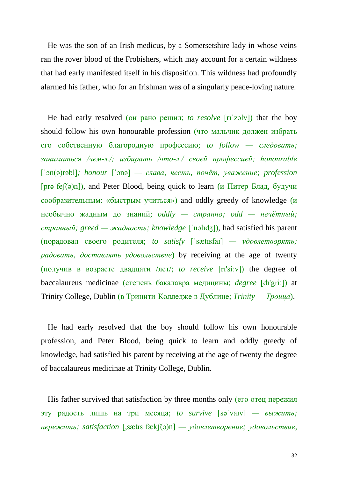He was the son of an Irish medicus, by a Somersetshire lady in whose veins ran the rover blood of the Frobishers, which may account for a certain wildness that had early manifested itself in his disposition. This wildness had profoundly alarmed his father, who for an Irishman was of a singularly peace-loving nature.

He had early resolved (он рано решил; *to resolve* [rɪˈzɔlv]) that the boy should follow his own honourable profession (что мальчик должен избрать его собственную благородную профессию; *to follow — следовать; заниматься /чем-л./; избирать /что-л./ своей профессией; honourable*  [ˈɔn(ə)rəbl]*; honour* [ˈɔnə] *— слава, честь, почёт, уважение; profession*  [ $pr\varphi$  [ $\varphi$ ]), and Peter Blood, being quick to learn (*и* Питер Блад, будучи сообразительным: «быстрым учиться») and oddly greedy of knowledge (и необычно жадным до знаний; *oddly — странно; odd — нечётный; странный; greed — жадность; knowledge* [ˈnɔlɪdʒ]), had satisfied his parent (порадовал своего родителя; *to satisfy* [ˈsætɪsfaɪ] *— удовлетворять; радовать, доставлять удовольствие*) by receiving at the age of twenty (получив в возрасте двадцати /лет/; *to receive* [rɪ'siːv]) the degree of baccalaureus medicinae (степень бакалавра медицины; *degree* [dɪ'griː]) at Trinity College, Dublin (в Тринити-Колледже в Дублине; *Trinity — Троица*).

He had early resolved that the boy should follow his own honourable profession, and Peter Blood, being quick to learn and oddly greedy of knowledge, had satisfied his parent by receiving at the age of twenty the degree of baccalaureus medicinae at Trinity College, Dublin.

His father survived that satisfaction by three months only (его отец пережил эту радость лишь на три месяца; *to survive* [səˈvaɪv] *— выжить; пережить; satisfaction* [,sætɪsˈfækʃ(ə)n] *— удовлетворение; удовольствие,*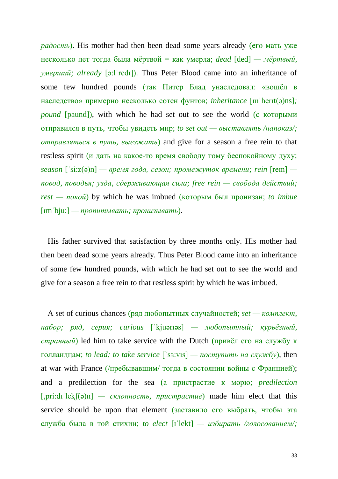*радость*). His mother had then been dead some years already (его мать уже несколько лет тогда была мёртвой = как умерла; *dead* [ded] *— мёртвый, умерший; already* [ɔ:lˈredɪ]). Thus Peter Blood came into an inheritance of some few hundred pounds (так Питер Блад унаследовал: «вошёл в наследство» примерно несколько сотен фунтов; *inheritance* [ɪnˈherɪt(ə)ns]*; pound* [paund]), with which he had set out to see the world (с которыми отправился в путь, чтобы увидеть мир; *to set out — выставлять /напоказ/; отправляться в путь, выезжать*) and give for a season a free rein to that restless spirit (и дать на какое-то время свободу тому беспокойному духу; *season* [ˈsi:z(ə)n] *— время года, сезон; промежуток времени; rein* [reɪn]  *повод, поводья; узда, сдерживающая сила; free rein — свобода действий; rest — покой*) by which he was imbued (которым был пронизан; *to imbue* [ɪmˈbju:] *— пропитывать; пронизывать*).

His father survived that satisfaction by three months only. His mother had then been dead some years already. Thus Peter Blood came into an inheritance of some few hundred pounds, with which he had set out to see the world and give for a season a free rein to that restless spirit by which he was imbued.

A set of curious chances (ряд любопытных случайностей; *set — комплект, набор; ряд, серия; curious* [ˈkjuərɪəs] *— любопытный; курьёзный, странный*) led him to take service with the Dutch (привёл его на службу к голландцам; *to lead; to take service* [`sɜ:vıs] *— поступить на службу*), then at war with France (/пребывавшим/ тогда в состоянии войны с Францией); and a predilection for the sea (а пристрастие к морю; *predilection*  [,pri:dɪˈlekʃ(ə)n] *— склонность, пристрастие*) made him elect that this service should be upon that element (заставило его выбрать, чтобы эта служба была в той стихии; *to elect* [ɪˈlekt] *— избирать /голосованием/;*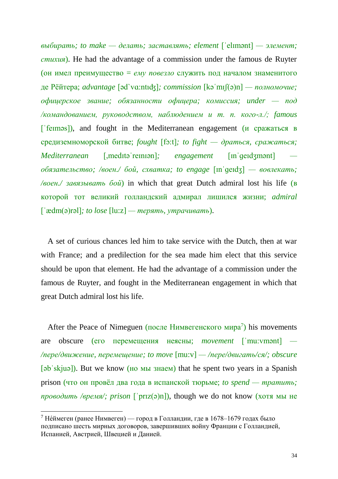*выбирать; to make — делать; заставлять; element* [ˈelɪmənt] *— элемент; стихия*). He had the advantage of a commission under the famous de Ruyter (он имел преимущество = *ему повезло* служить под началом знаменитого де Рёйтера; *advantage* [əd`vɑ:ntıʤ]*; commission* [kəˈmɪʃ(ə)n] *— полномочие; офицерское звание; обязанности офицера; комиссия; under — под /командованием, руководством, наблюдением и т. п. кого-л./; famous*  [ˈfeɪməs]), and fought in the Mediterranean engagement (и сражаться в средиземноморской битве; *fought* [fɔ:t]*; to fight — драться, сражаться; Mediterranean* [,meditə<sup>'</sup>reiniən]; *engagement* [in<sup>'</sup>geidʒmənt] *обязательство; /воен./ бой, схватка; to engage* [ɪnˈɡeɪdʒ] *— вовлекать; /воен./ завязывать бой*) in which that great Dutch admiral lost his life (в которой тот великий голландский адмирал лишился жизни; *admiral*  [ˈædm(ə)rəl]*; to lose* [lu:z] *— терять, утрачивать*).

A set of curious chances led him to take service with the Dutch, then at war with France; and a predilection for the sea made him elect that this service should be upon that element. He had the advantage of a commission under the famous de Ruyter, and fought in the Mediterranean engagement in which that great Dutch admiral lost his life.

After the Peace of Nimeguen (после Нимвегенского мира<sup>7</sup>) his movements are obscure (его перемещения неясны; *movement* [ˈmu:vmənt] *— /пере/движение, перемещение; to move* [mu:v] *— /пере/двигать/ся/; obscure*  [əbˈskjuə]). But we know (но мы знаем) that he spent two years in a Spanish prison (что он провёл два года в испанской тюрьме; *to spend — тратить; проводить /время/; prison* [ˈprɪz(ə)n]), though we do not know (хотя мы не

**.** 

<sup>&</sup>lt;sup>7</sup> Не́ймеген (ранее Нимвеген) — город в Голландии, где в 1678–1679 годах было подписано шесть мирных договоров, завершивших войну Франции с Голландией, Испанией, Австрией, Швецией и Данией.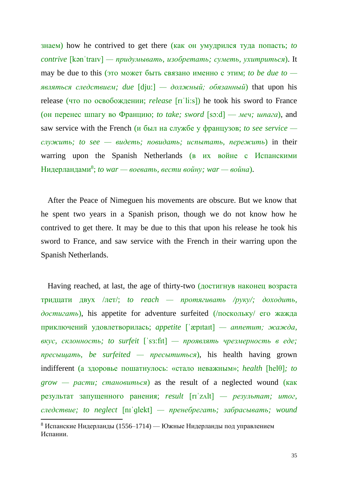знаем) how he contrived to get there (как он умудрился туда попасть; *to contrive* [kənˈtraɪv] *— придумывать, изобретать; суметь, ухитриться*). It may be due to this (это может быть связано именно с этим; *to be due to являться следствием; due* [dju:] *— должный; обязанный*) that upon his release (что по освобождении; *release* [rɪˈli:s]) he took his sword to France (он перенес шпагу во Францию; *to take; sword* [sɔ:d] — *меч; шпага*), and saw service with the French (и был на службе у французов; *to see service служить; to see — видеть; повидать; испытать, пережить*) in their warring upon the Spanish Netherlands (в их войне с Испанскими Нидерландами<sup>8</sup> ; *to war — воевать, вести войну; war — война*).

After the Peace of Nimeguen his movements are obscure. But we know that he spent two years in a Spanish prison, though we do not know how he contrived to get there. It may be due to this that upon his release he took his sword to France, and saw service with the French in their warring upon the Spanish Netherlands.

Having reached, at last, the age of thirty-two (достигнув наконец возраста тридцати двух /лет/; *to reach — протягивать /руку/; доходить, достигать*), his appetite for adventure surfeited (/поскольку/ его жажда приключений удовлетворилась; *appetite* [ˈæpɪtaɪt] *— аппетит; жажда, вкус, склонность; to surfeit* [ˈsɜ:fıt] *— проявлять чрезмерность в еде; пресыщать, be surfeited — пресытиться*), his health having grown indifferent (а здоровье пошатнулось: «стало неважным»; *health* [helθ]*; to grow — расти; становиться*) as the result of a neglected wound (как результат запущенного ранения; *result* [rɪˈzʌlt] *— результат; итог, следствие; to neglect* [nɪˈɡlekt] *— пренебрегать; забрасывать; wound*  **.** 

<sup>&</sup>lt;sup>8</sup> Испанские Нидерланды (1556–1714) — Южные Нидерланды под управлением Испании.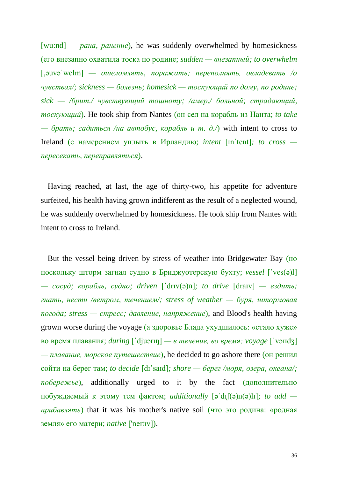[wu:nd] *— рана, ранение*), he was suddenly overwhelmed by homesickness (его внезапно охватила тоска по родине; *sudden — внезапный; to overwhelm*  [,əuvəˈwelm] *— ошеломлять, поражать; переполнять, овладевать /о чувствах/; sickness — болезнь; homesick — тоскующий по дому, по родине; sick — /брит./ чувствующий тошноту; /амер./ больной; страдающий, тоскующий*). He took ship from Nantes (он сел на корабль из Нанта; *to take — брать; садиться /на автобус, корабль и т. д./*) with intent to cross to Ireland (с намерением уплыть в Ирландию; *intent* [ɪnˈtent]*; to cross пересекать, переправляться*).

Having reached, at last, the age of thirty-two, his appetite for adventure surfeited, his health having grown indifferent as the result of a neglected wound, he was suddenly overwhelmed by homesickness. He took ship from Nantes with intent to cross to Ireland.

But the vessel being driven by stress of weather into Bridgewater Bay (но поскольку шторм загнал судно в Бриджуотерскую бухту; *vessel* [ˈves(ə)l] *— сосуд; корабль, судно; driven* [ˈdrɪv(ə)n]*; to drive* [draɪv] *— ездить; гнать, нести /ветром, течением/; stress of weather — буря, штормовая погода; stress — стресс; давление, напряжение*), and Blood's health having grown worse during the voyage (а здоровье Блада ухудшилось: «стало хуже» во время плавания; *during* [ˈdjuərɪŋ] *— в течение, во время; voyage* [ˈvɔɪɪdʒ] *— плавание, морское путешествие*), he decided to go ashore there (он решил сойти на берег там; *to decide* [dɪˈsaɪd]*; shore — берег /моря, озера, океана/; побережье*), additionally urged to it by the fact (дополнительно побуждаемый к этому тем фактом; *additionally* [əˈdɪʃ(ə)n(ə)lɪ]*; to add прибавлять*) that it was his mother's native soil (что это родина: «родная земля» его матери; *native* ['neɪtɪv]).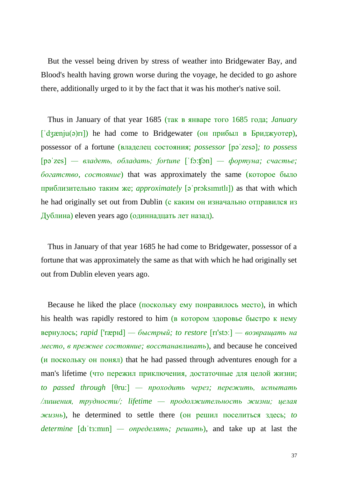But the vessel being driven by stress of weather into Bridgewater Bay, and Blood's health having grown worse during the voyage, he decided to go ashore there, additionally urged to it by the fact that it was his mother's native soil.

Thus in January of that year 1685 (так в январе того 1685 года; *January*   $\lceil d_3 \text{zen}(a) r \rceil$ ) he had come to Bridgewater (он прибыл в Бриджуотер), possessor of a fortune (владелец состояния; *possessor* [pəˈzesə]*; to possess*  [pəˈzes] *— владеть, обладать; fortune* [ˈfɔ:ʧən] *— фортуна; счастье; богатство, состояние*) that was approximately the same (которое было приблизительно таким же; *approximately* [əˈprɔksɪmɪtlɪ]) as that with which he had originally set out from Dublin (с каким он изначально отправился из Дублина) eleven years ago (одиннадцать лет назад).

Thus in January of that year 1685 he had come to Bridgewater, possessor of a fortune that was approximately the same as that with which he had originally set out from Dublin eleven years ago.

Because he liked the place (поскольку ему понравилось место), in which his health was rapidly restored to him (в котором здоровье быстро к нему вернулось; *rapid* ['ræpɪd] *— быстрый; to restore* [rɪ'stɔː] *— возвращать на место, в прежнее состояние; восстанавливать*), and because he conceived (и поскольку он понял) that he had passed through adventures enough for a man's lifetime (что пережил приключения, достаточные для целой жизни; *to passed through* [θru:] *— проходить через; пережить, испытать /лишения, трудности/; lifetime — продолжительность жизни; целая жизнь*), he determined to settle there (он решил поселиться здесь; *to determine* [dıˈtɜ:mın] *— определять; решать*), and take up at last the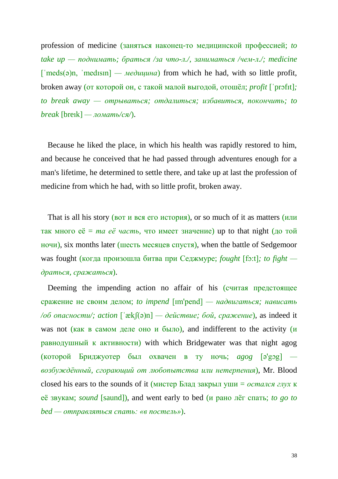profession of medicine (заняться наконец-то медицинской профессией; *to take up — поднимать; браться /за что-л./, заниматься /чем-л./; medicine*  [ˈmeds(ə)n, ˈmedɪsɪn] *— медицина*) from which he had, with so little profit, broken away (от которой он, с такой малой выгодой, отошёл; *profit* [ˈprɔfɪt]*; to break away — отрываться; отдалиться; избавиться, покончить; to break* [breık] *— ломать/ся/*).

Because he liked the place, in which his health was rapidly restored to him, and because he conceived that he had passed through adventures enough for a man's lifetime, he determined to settle there, and take up at last the profession of medicine from which he had, with so little profit, broken away.

That is all his story (вот и вся его история), or so much of it as matters (или так много  $e\ddot{e} = ma e\ddot{e}$  *часть*, что имеет значение) up to that night (до той ночи), six months later (шесть месяцев спустя), when the battle of Sedgemoor was fought (когда произошла битва при Седжмуре; *fought* [fɔ:t]*; to fight драться, сражаться*).

Deeming the impending action no affair of his (считая предстоящее сражение не своим делом; *to impend* [ɪm'pend] *— надвигаться; нависать /об опасности/; action* [ˈækʃ(ə)n] *— действие; бой, сражение*), as indeed it was not (как в самом деле оно и было), and indifferent to the activity ( $\mu$ равнодушный к активности) with which Bridgewater was that night agog (которой Бриджуотер был охвачен в ту ночь; *agog* [ə'gɔg]  *возбуждённый, сгорающий от любопытства или нетерпения*), Mr. Blood closed his ears to the sounds of it (мистер Блад закрыл уши = *остался глух* к её звукам; *sound* [saund]), and went early to bed (и рано лёг спать; *to go to bed — отправляться спать: «в постель»*).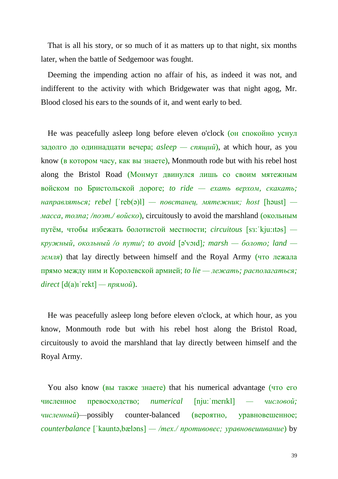That is all his story, or so much of it as matters up to that night, six months later, when the battle of Sedgemoor was fought.

Deeming the impending action no affair of his, as indeed it was not, and indifferent to the activity with which Bridgewater was that night agog, Mr. Blood closed his ears to the sounds of it, and went early to bed.

He was peacefully asleep long before eleven o'clock (он спокойно уснул задолго до одиннадцати вечера; *asleep — спящий*), at which hour, as you know (в котором часу, как вы знаете), Monmouth rode but with his rebel host along the Bristol Road (Монмут двинулся лишь со своим мятежным войском по Бристольской дороге; *to ride — ехать верхом, скакать; направляться; rebel* [ˈreb(ə)l] *— повстанец, мятежник; host* [həust]  *масса, толпа; /поэт./ войско*), circuitously to avoid the marshland (окольным путём, чтобы избежать болотистой местности; *circuitous* [sɜ:ˈkju:ıtəs]  *кружный, окольный /о пути/; to avoid* [ə'vɔɪd]*; marsh — болото; land земля*) that lay directly between himself and the Royal Army (что лежала прямо между ним и Королевской армией; *to lie — лежать; располагаться; direct* [d(a)ıˈrekt] *— прямой*).

He was peacefully asleep long before eleven o'clock, at which hour, as you know, Monmouth rode but with his rebel host along the Bristol Road, circuitously to avoid the marshland that lay directly between himself and the Royal Army.

You also know (вы также знаете) that his numerical advantage (что его численное превосходство; *numerical* [nju:ˈmerɪkl] *— числовой; численный*)—possibly counter-balanced (вероятно, уравновешенное; *counterbalance* [ˈkauntə,bæləns] *— /тех./ противовес; уравновешивание*) by

39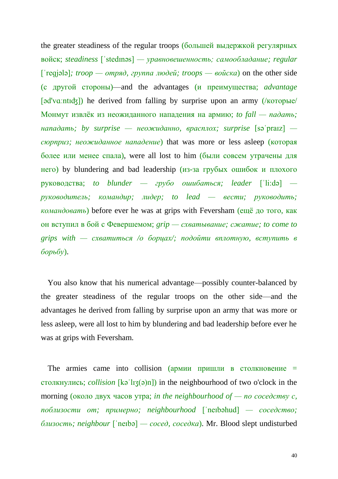the greater steadiness of the regular troops (большей выдержкой регулярных войск; *steadiness* [ˈstedɪnəs] *— уравновешенность; самообладание; regular*  [ˈreɡjələ]*; troop — отряд, группа людей; troops — войска*) on the other side (с другой стороны)—and the advantages (и преимущества; *advantage* [əd'vɑːntɪʤ]) he derived from falling by surprise upon an army (/которые/ Монмут извлёк из неожиданного нападения на армию; *to fall — падать; нападать; by surprise — неожиданно, врасплох; surprise* [səˈpraɪz]  *сюрприз; неожиданное нападение*) that was more or less asleep (которая более или менее спала), were all lost to him (были совсем утрачены для него) by blundering and bad leadership (из-за грубых ошибок и плохого руководства; *to blunder — грубо ошибаться; leader* [ˈli:də]  *руководитель; командир; лидер; to lead — вести; руководить; командовать*) before ever he was at grips with Feversham (ещё до того, как он вступил в бой с Февершемом; *grip — схватывание; сжатие; to come to grips with — схватиться /о борцах/; подойти вплотную, вступить в борьбу*).

You also know that his numerical advantage—possibly counter-balanced by the greater steadiness of the regular troops on the other side—and the advantages he derived from falling by surprise upon an army that was more or less asleep, were all lost to him by blundering and bad leadership before ever he was at grips with Feversham.

The armies came into collision (армии пришли в столкновение  $=$ столкнулись; *collision* [kəˈlɪʒ(ə)n]) in the neighbourhood of two o'clock in the morning (около двух часов утра; *in the neighbourhood of — по соседству с, поблизости от; примерно; neighbourhood* [ˈneɪbəhud] *— соседство; близость; neighbour* [ˈneɪbə] *— сосед, соседка*). Mr. Blood slept undisturbed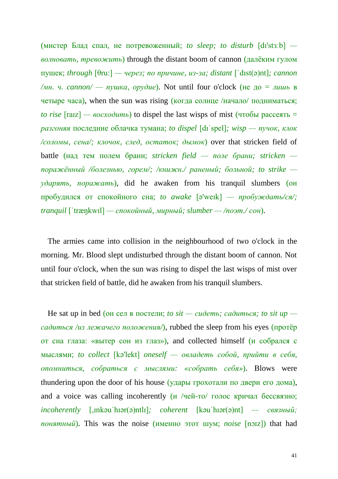(мистер Блад спал, не потревоженный; *to sleep; to disturb* [dɪ'stɜːb]  *волновать, тревожить*) through the distant boom of cannon (далёким гулом пушек; *through* [θru:] *— через; по причине, из-за; distant* [ˈdɪst(ə)nt]*; cannon /мн. ч. cannon/ — пушка, орудие*). Not until four o'clock (не до = *лишь* в четыре часа), when the sun was rising (когда солнце /начало/ подниматься;  $\tau$  *to rise*  $\lceil \text{raz} \rceil$  *— восходить*) to dispel the last wisps of mist (чтобы рассеять = *разгоняя* последние облачка тумана; *to dispel* [dɪˈspel]*; wisp — пучок, клок /соломы, сена/; клочок, след, остаток; дымок*) over that stricken field of battle (над тем полем брани; *stricken field — поле брани; stricken поражённый /болезнью, горем/; /книжн./ раненый; больной; to strike ударять, поражать*), did he awaken from his tranquil slumbers (он пробудился от спокойного сна; *to awake* [ə'weɪk] *— пробуждать/ся/; tranquil* [ˈtræŋkwɪl] *— спокойный, мирный; slumber — /поэт./ сон*).

The armies came into collision in the neighbourhood of two o'clock in the morning. Mr. Blood slept undisturbed through the distant boom of cannon. Not until four o'clock, when the sun was rising to dispel the last wisps of mist over that stricken field of battle, did he awaken from his tranquil slumbers.

He sat up in bed (он сел в постели; *to sit — сидеть; садиться; to sit up садиться /из лежачего положения/*), rubbed the sleep from his eyes (протёр от сна глаза: «вытер сон из глаз»), and collected himself (и собрался с мыслями; *to collect* [kə'lekt] *oneself — овладеть собой, прийти в себя, опомниться, собраться с мыслями: «собрать себя»*). Blows were thundering upon the door of his house (удары грохотали по двери его дома), and a voice was calling incoherently  $(\mu$  /чей-то/ голос кричал бессвязно; *incoherently* [,ɪnkəuˈhɪər(ə)ntlɪ]*; coherent* [kəuˈhɪər(ə)nt] *— связный; понятный*). This was the noise (именно этот шум; *noise* [nɔɪz]) that had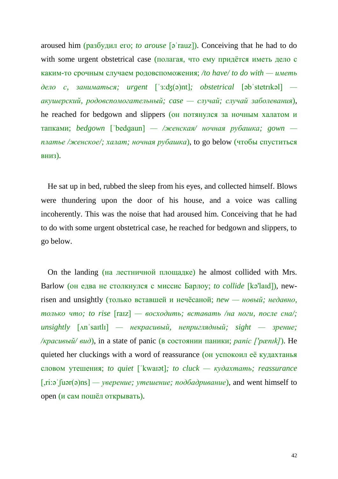aroused him (разбудил его; *to arouse* [əˈrauz]). Conceiving that he had to do with some urgent obstetrical case (полагая, что ему придётся иметь дело с каким-то срочным случаем родовспоможения; */to have/ to do with — иметь дело с, заниматься; urgent* [ˈɜ:ʤ(ə)nt]*; obstetrical* [əbˈstetrɪkəl]  *акушерский, родовспомогательный; case — случай; случай заболевания*), he reached for bedgown and slippers (он потянулся за ночным халатом и тапками; *bedgown* [ˈbedɡaun] *— /женская/ ночная рубашка; gown платье /женское/; халат; ночная рубашка*), to go below (чтобы спуститься вниз).

He sat up in bed, rubbed the sleep from his eyes, and collected himself. Blows were thundering upon the door of his house, and a voice was calling incoherently. This was the noise that had aroused him. Conceiving that he had to do with some urgent obstetrical case, he reached for bedgown and slippers, to go below.

On the landing (на лестничной площадке) he almost collided with Mrs. Barlow (он едва не столкнулся с миссис Барлоу; *to collide* [kə'laɪd]), newrisen and unsightly (только вставшей и нечёсаной; *new — новый; недавно, только что; to rise* [raɪz] *— восходить; вставать /на ноги, после сна/; unsightly* [ʌnˈsaɪtlɪ] *— некрасивый, неприглядный; sight — зрение; /красивый/ вид*), in a state of panic (в состоянии паники; *panic ['pænɪk]*). He quieted her cluckings with a word of reassurance (он успокоил её кудахтанья словом утешения; *to quiet* [ˈkwaɪət]*; to cluck — кудахтать; reassurance* [,ri:əˈʃuər(ə)ns] *— уверение; утешение; подбадривание*), and went himself to open (и сам пошёл открывать).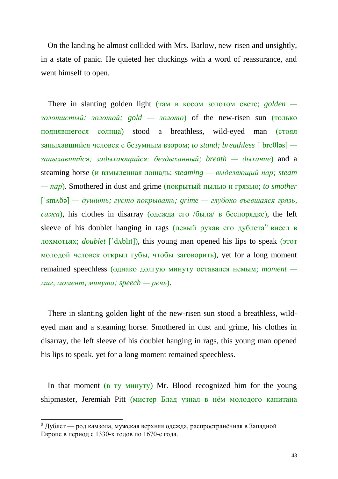On the landing he almost collided with Mrs. Barlow, new-risen and unsightly, in a state of panic. He quieted her cluckings with a word of reassurance, and went himself to open.

There in slanting golden light (там в косом золотом свете; *golden золотистый; золотой; gold — золото*) of the new-risen sun (только поднявшегося солнца) stood a breathless, wild-eyed man (стоял запыхавшийся человек с безумным взором; *to stand; breathless* [ˈbreθləs]  *запыхавшийся; задыхающийся; бездыханный; breath — дыхание*) and a steaming horse (и взмыленная лошадь; *steaming — выделяющий пар; steam — пар*). Smothered in dust and grime (покрытый пылью и грязью; *to smother*  [ˈsmʌðə] *— душить; густо покрывать; grime — глубоко въевшаяся грязь, сажа*), his clothes in disarray (одежда его /была/ в беспорядке), the left sleeve of his doublet hanging in rags (левый рукав его дублета<sup>9</sup> висел в лохмотьях; *doublet* [ˈdʌblɪt]), this young man opened his lips to speak (этот молодой человек открыл губы, чтобы заговорить), yet for a long moment remained speechless (однако долгую минуту оставался немым; *moment миг, момент, минута; speech — речь*).

There in slanting golden light of the new-risen sun stood a breathless, wildeyed man and a steaming horse. Smothered in dust and grime, his clothes in disarray, the left sleeve of his doublet hanging in rags, this young man opened his lips to speak, yet for a long moment remained speechless.

In that moment (в ту минуту) Mr. Blood recognized him for the young shipmaster, Jeremiah Pitt (мистер Блад узнал в нём молодого капитана

**.** 

<sup>&</sup>lt;sup>9</sup> Дублет — род камзола, мужская верхняя одежда, распространённая в Западной Европе в период с 1330-х годов по 1670-е года.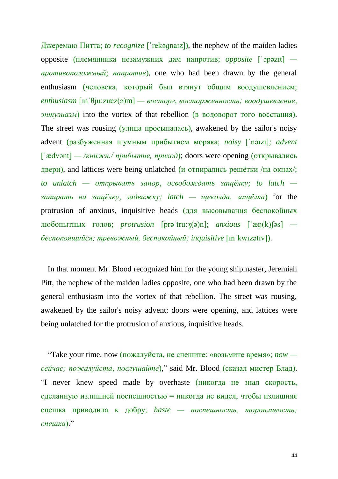Джеремаю Питта; *to recognize* [ˈrekəɡnaɪz]), the nephew of the maiden ladies opposite (племянника незамужних дам напротив; *opposite* [ˈɔpəzɪt]  *противоположный; напротив*), one who had been drawn by the general enthusiasm (человека, который был втянут общим воодушевлением; *enthusiasm* [ɪnˈθju:zɪæz(ə)m] *— восторг, восторженность; воодушевление, энтузиазм*) into the vortex of that rebellion (в водоворот того восстания). The street was rousing (улица просыпалась), awakened by the sailor's noisy advent (разбуженная шумным прибытием моряка; *noisy* [ˈnɔɪzɪ]*; advent*  [ˈædvənt] *— /книжн./ прибытие, приход*); doors were opening (открывались двери), and lattices were being unlatched (и отпирались решётки /на окнах/; *to unlatch — открывать запор, освобождать защёлку; to latch запирать на защёлку, задвижку; latch — щеколда, защёлка*) for the protrusion of anxious, inquisitive heads (для высовывания беспокойных любопытных голов; *protrusion* [prəˈtru:ʒ(ə)n]; *anxious* [ˈæŋ(k)ʃəs]  *беспокоящийся; тревожный, беспокойный; inquisitive* [ɪnˈkwɪzətɪv]).

In that moment Mr. Blood recognized him for the young shipmaster, Jeremiah Pitt, the nephew of the maiden ladies opposite, one who had been drawn by the general enthusiasm into the vortex of that rebellion. The street was rousing, awakened by the sailor's noisy advent; doors were opening, and lattices were being unlatched for the protrusion of anxious, inquisitive heads.

"Take your time, now (пожалуйста, не спешите: «возьмите время»; *now сейчас; пожалуйста, послушайте*)," said Mr. Blood (сказал мистер Блад). "I never knew speed made by overhaste (никогда не знал скорость, сделанную излишней поспешностью = никогда не видел, чтобы излишняя спешка приводила к добру; *haste — поспешность, торопливость; спешка*)."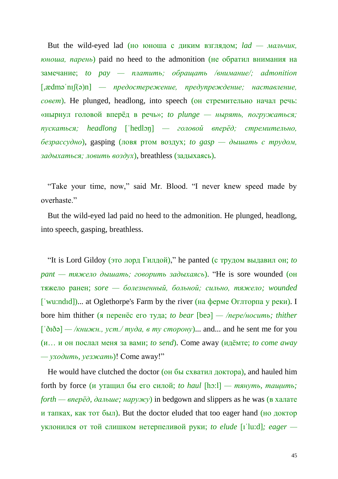But the wild-eyed lad (но юноша с диким взглядом; *lad — мальчик, юноша, парень*) paid no heed to the admonition (не обратил внимания на замечание; *to pay — платить; обращать /внимание/; admonition*  [,ædməˈnɪʃ(ə)n] *— предостережение, предупреждение; наставление, совет*). He plunged, headlong, into speech (он стремительно начал речь: «нырнул головой вперёд в речь»; *to plunge — нырять, погружаться; пускаться; headlong* [ˈhedlɔŋ] *— головой вперёд; стремительно, безрассудно*), gasping (ловя ртом воздух; *to gasp — дышать с трудом, задыхаться; ловить воздух*), breathless (задыхаясь).

"Take your time, now," said Mr. Blood. "I never knew speed made by overhaste."

But the wild-eyed lad paid no heed to the admonition. He plunged, headlong, into speech, gasping, breathless.

"It is Lord Gildoy (это лорд Гилдой)," he panted (с трудом выдавил он; *to pant — тяжело дышать; говорить задыхаясь*). "He is sore wounded (он тяжело ранен; *sore — болезненный, больной; сильно, тяжело; wounded* [ˈwu:ndıd])... at Oglethorpe's Farm by the river (на ферме Оглторпа у реки). I bore him thither (я перенёс его туда; *to bear* [beə] *— /пере/носить; thither*  $\left[\begin{array}{l}\n\sqrt{2} & -\sqrt{k\mu u} & \sqrt{k\mu v} \\
\sqrt{k\mu u} & \sqrt{k\mu v} & \sqrt{k\mu v} \\
\sqrt{k\mu v} & \sqrt{k\mu v} & \sqrt{k\mu v} \\
\sqrt{k\mu v} & \sqrt{k\mu v} & \sqrt{k\mu v} \\
\sqrt{k\mu v} & \sqrt{k\mu v} & \sqrt{k\mu v} & \sqrt{k\mu v} \\
\sqrt{k\mu v} & \sqrt{k\mu v} & \sqrt{k\mu v} & \sqrt{k\mu v} & \sqrt{k\mu v} \\
\sqrt{k\mu v} & \sqrt{k\mu v} & \sqrt{k\mu v} & \sqrt{k\mu v} & \sqrt{k\mu v} & \sqrt{k$ (и… и он послал меня за вами; *to send*). Come away (идёмте; *to come away — уходить, уезжать*)! Come away!"

He would have clutched the doctor (он бы схватил доктора), and hauled him forth by force (и утащил бы его силой; *to haul* [hɔ:l] *— тянуть, тащить; forth — вперёд, дальше; наружу*) in bedgown and slippers as he was (в халате и тапках, как тот был). But the doctor eluded that too eager hand (но доктор уклонился от той слишком нетерпеливой руки; *to elude* [ɪˈlu:d]*; eager —*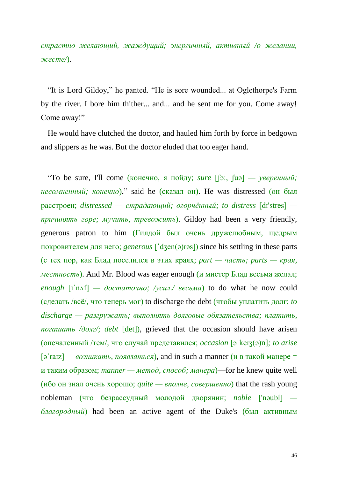*страстно желающий, жаждущий; энергичный, активный /о желании, жесте/*).

"It is Lord Gildoy," he panted. "He is sore wounded... at Oglethorpe's Farm by the river. I bore him thither... and... and he sent me for you. Come away! Come away!"

He would have clutched the doctor, and hauled him forth by force in bedgown and slippers as he was. But the doctor eluded that too eager hand.

"To be sure, I'll come (конечно, я пойду; *sure* [ʃɔ:, ʃuə] *— уверенный; несомненный; конечно*)," said he (сказал он). He was distressed (он был расстроен; *distressed — страдающий; огорчённый; to distress* [dɪ'stres]  *причинять горе; мучить, тревожить*). Gildoy had been a very friendly, generous patron to him (Гилдой был очень дружелюбным, щедрым покровителем для него; *generous* [ˈdʒen(ə)rəs]) since his settling in these parts (с тех пор, как Блад поселился в этих краях; *part — часть; parts — края, местность*). And Mr. Blood was eager enough (и мистер Блад весьма желал;  $\alpha$ *enough*  $\lceil \mathbf{i} \cdot \mathbf{n} \cdot \mathbf{f} \rceil$  *— достаточно; /усил./ весьма*) to do what he now could (сделать /всё/, что теперь мог) to discharge the debt (чтобы уплатить долг; *to discharge — разгружать; выполнять долговые обязательства; платить, погашать /долг/; debt* [det]), grieved that the occasion should have arisen (опечаленный /тем/, что случай представился; *occasion* [əˈkeɪʒ(ə)n]*; to arise*   $\lceil 3 \rceil$  *a*  $\lceil 3 \rceil$  *and in such a manner (и в такой манере =*  $\lceil 3 \rceil$  *and*  $\lceil 4 \rceil$  *<i>and in such a manner (и в такой манере =*  $\lceil 3 \rceil$  *and*  $\lceil 4 \rceil$  *and*  $\lceil 4 \rceil$  *and*  $\lceil 4 \rceil$  *and*  $\lceil 4 \rceil$  *and*  $\lceil 4 \rceil$ и таким образом; *manner — метод, способ; манера*)—for he knew quite well (ибо он знал очень хорошо; *quite — вполне, совершенно*) that the rash young nobleman (что безрассудный молодой дворянин; *noble* ['nəubl]  *благородный*) had been an active agent of the Duke's (был активным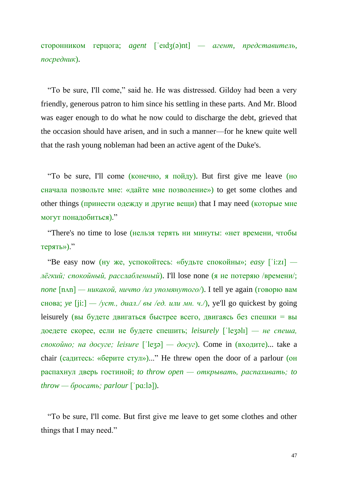сторонником герцога; *agent* [ˈeɪdʒ(ə)nt] *— агент, представитель, посредник*).

"To be sure, I'll come," said he. He was distressed. Gildoy had been a very friendly, generous patron to him since his settling in these parts. And Mr. Blood was eager enough to do what he now could to discharge the debt, grieved that the occasion should have arisen, and in such a manner—for he knew quite well that the rash young nobleman had been an active agent of the Duke's.

"To be sure, I'll come (конечно, я пойду). But first give me leave (но сначала позвольте мне: «дайте мне позволение») to get some clothes and other things (принести одежду и другие вещи) that I may need (которые мне могут понадобиться)."

"There's no time to lose (нельзя терять ни минуты: «нет времени, чтобы терять»)."

"Be easy now (ну же, успокойтесь: «будьте спокойны»; *easy* [ˈi:zɪ]  *лёгкий; спокойный, расслабленный*). I'll lose none (я не потеряю /времени/;  $\eta$ *none*  $[\text{nan}]$  — *никакой, ничто /из упомянутого*/). I tell ye again (говорю вам снова; *ye* [ji:] — /*ycm., диал./ вы /ed. или мн. ч./*), ye'll go quickest by going leisurely (вы будете двигаться быстрее всего, двигаясь без спешки = вы доедете скорее, если не будете спешить; *leisurely* [ˈleʒəlɪ] *— не спеша, спокойно; на досуге; leisure* [ˈleʒə] *— досуг*). Come in (входите)... take a chair (садитесь: «берите стул»)..." He threw open the door of a parlour (он распахнул дверь гостиной; *to throw open — открывать, распахивать; to throw — бросать; parlour* [ˈpɑ:lə]).

"To be sure, I'll come. But first give me leave to get some clothes and other things that I may need."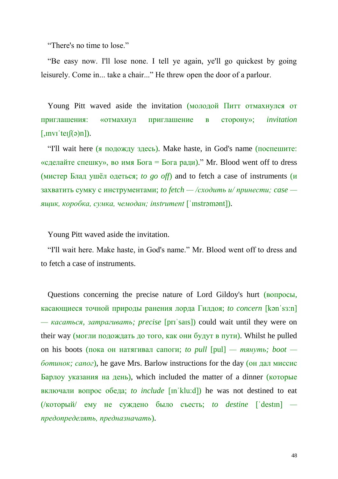"There's no time to lose."

"Be easy now. I'll lose none. I tell ye again, ye'll go quickest by going leisurely. Come in... take a chair..." He threw open the door of a parlour.

Young Pitt waved aside the invitation (молодой Питт отмахнулся от приглашения: «отмахнул приглашение в сторону»; *invitation*   $\lceil$ ,  $\ln$ vī 'teɪ $\lceil (a)n \rceil$ ).

"I'll wait here (я подожду здесь). Make haste, in God's name (поспешите: «сделайте спешку», во имя Бога = Бога ради)." Mr. Blood went off to dress (мистер Блад ушёл одеться; *to go off*) and to fetch a case of instruments (и захватить сумку с инструментами; *to fetch — /сходить и/ принести; case ящик, коробка, сумка, чемодан; instrument* [ˈɪnstrəmənt]).

Young Pitt waved aside the invitation.

"I'll wait here. Make haste, in God's name." Mr. Blood went off to dress and to fetch a case of instruments.

Questions concerning the precise nature of Lord Gildoy's hurt (вопросы, касающиеся точной природы ранения лорда Гилдоя; *to concern* [kənˈsɜ:n] *— касаться, затрагивать; precise* [prɪˈsaɪs]) could wait until they were on their way (могли подождать до того, как они будут в пути). Whilst he pulled on his boots (пока он натягивал сапоги; *to pull*  $[pul]$  *— тянуть; boot ботинок; сапог*), he gave Mrs. Barlow instructions for the day (он дал миссис Барлоу указания на день), which included the matter of a dinner (которые включали вопрос обеда; *to include* [ɪnˈklu:d]) he was not destined to eat (/который/ ему не суждено было съесть; *to destine* [ˈdestɪn]  *предопределять, предназначать*).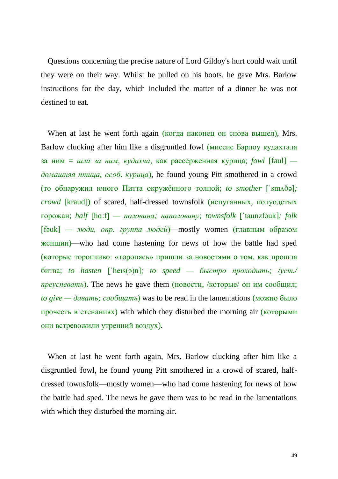Questions concerning the precise nature of Lord Gildoy's hurt could wait until they were on their way. Whilst he pulled on his boots, he gave Mrs. Barlow instructions for the day, which included the matter of a dinner he was not destined to eat.

When at last he went forth again (когда наконец он снова вышел), Mrs. Barlow clucking after him like a disgruntled fowl (миссис Барлоу кудахтала за ним = *шла за ним, кудахча*, как рассерженная курица; *fowl* [faul]  *домашняя птица, особ. курица*), he found young Pitt smothered in a crowd (то обнаружил юного Питта окружённого толпой; *to smother* [ˈsmʌðə]*; crowd* [kraud]) of scared, half-dressed townsfolk (испуганных, полуодетых горожан; *half* [hɑ:f] *— половина; наполовину; townsfolk* [ˈtaunzfəuk]*; folk*  [fəuk] *— люди, опр. группа людей*)—mostly women (главным образом женщин)—who had come hastening for news of how the battle had sped (которые торопливо: «торопясь» пришли за новостями о том, как прошла битва; *to hasten* [ˈheɪs(ə)n]*; to speed — быстро проходить; /уст./ преуспевать*). The news he gave them (новости, /которые/ он им сообщил; *to give — давать; сообщать*) was to be read in the lamentations (можно было прочесть в стенаниях) with which they disturbed the morning air (которыми они встревожили утренний воздух).

When at last he went forth again, Mrs. Barlow clucking after him like a disgruntled fowl, he found young Pitt smothered in a crowd of scared, halfdressed townsfolk—mostly women—who had come hastening for news of how the battle had sped. The news he gave them was to be read in the lamentations with which they disturbed the morning air.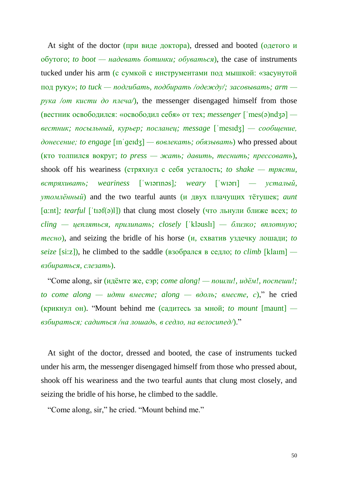At sight of the doctor (при виде доктора), dressed and booted (одетого и обутого; *to boot — надевать ботинки; обуваться*), the case of instruments tucked under his arm (с сумкой с инструментами под мышкой: «засунутой под руку»; *to tuck — подгибать, подбирать /одежду/; засовывать; arm рука /от кисти до плеча/*), the messenger disengaged himself from those (вестник освободился: «освободил себя» от тех; *messenger* [ˈmes(ə)ndʒə]  *вестник; посыльный, курьер; посланец; message* [ˈmesɪdʒ] *— сообщение, донесение; to engage* [ɪnˈɡeɪdʒ] *— вовлекать; обязывать*) who pressed about (кто толпился вокруг; *to press — жать; давить, теснить; прессовать*), shook off his weariness (стряхнул с себя усталость; *to shake — трясти, встряхивать; weariness* [ˈwɪərɪnəs]*; weary* [ˈwɪərɪ] *— усталый, утомлённый*) and the two tearful aunts (и двух плачущих тётушек; *aunt*  [ɑ:nt]*; tearful* [ˈtɪəf(ə)l]) that clung most closely (что льнули ближе всех; *to cling — цепляться, прилипать; closely* [ˈkləuslɪ] *— близко; вплотную; тесно*), and seizing the bridle of his horse (и, схватив уздечку лошади; *to seize* [si:z]), he climbed to the saddle (взобрался в седло; *to climb* [klaım]  *взбираться, слезать*).

"Come along, sir (идёмте же, сэр; *come along! — пошли!, идём!, поспеши!;*   $to$  *come*  $along$  *— udmu вместе;*  $along$  *—*  $6do$ *ль; вместе, c*)," he cried (крикнул он). "Mount behind me (садитесь за мной; *to mount* [maunt]  *взбираться; садиться /на лошадь, в седло, на велосипед/*)."

At sight of the doctor, dressed and booted, the case of instruments tucked under his arm, the messenger disengaged himself from those who pressed about, shook off his weariness and the two tearful aunts that clung most closely, and seizing the bridle of his horse, he climbed to the saddle.

"Come along, sir," he cried. "Mount behind me."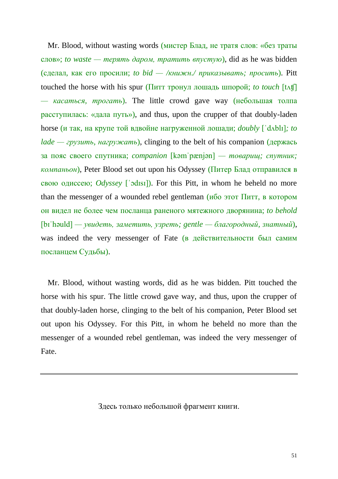Mr. Blood, without wasting words (мистер Блад, не тратя слов: «без траты слов»; *to waste — терять даром, тратить впустую*), did as he was bidden (сделал, как его просили; *to bid — /книжн./ приказывать; просить*). Pitt touched the horse with his spur (Питт тронул лошадь шпорой; *to touch* [tʌʧ] *— касаться, трогать*). The little crowd gave way (небольшая толпа расступилась: «дала путь»), and thus, upon the crupper of that doubly-laden horse (и так, на крупе той вдвойне нагруженной лошади; *doubly* [ˈdʌblɪ]*; to lade — грузить, нагружать*), clinging to the belt of his companion (держась за пояс своего спутника; *companion* [kəmˈpænjən] *— товарищ; спутник; компаньон*), Peter Blood set out upon his Odyssey (Питер Блад отправился в свою одиссею; *Odyssey* [ˈɔdɪsɪ]). For this Pitt, in whom he beheld no more than the messenger of a wounded rebel gentleman (ибо этот Питт, в котором он видел не более чем посланца раненого мятежного дворянина; *to behold*  [bɪˈhəuld] *— увидеть, заметить, узреть; gentle — благородный, знатный*), was indeed the very messenger of Fate (в действительности был самим посланцем Судьбы).

Mr. Blood, without wasting words, did as he was bidden. Pitt touched the horse with his spur. The little crowd gave way, and thus, upon the crupper of that doubly-laden horse, clinging to the belt of his companion, Peter Blood set out upon his Odyssey. For this Pitt, in whom he beheld no more than the messenger of a wounded rebel gentleman, was indeed the very messenger of Fate.

Здесь только небольшой фрагмент книги.